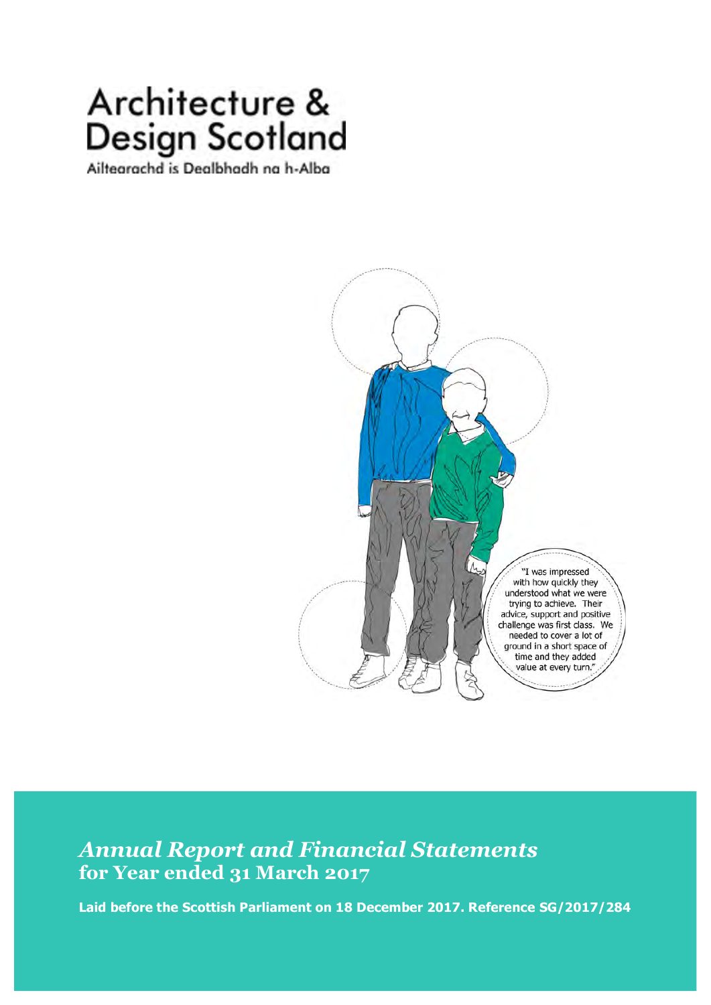# Architecture & **Design Scotland**

Ailtearachd is Dealbhadh na h-Alba



# *Annual Report and Financial Statements* **for Year ended 31 March 2017**

**Laid before the Scottish Parliament on 18 December 2017. Reference SG/2017/284**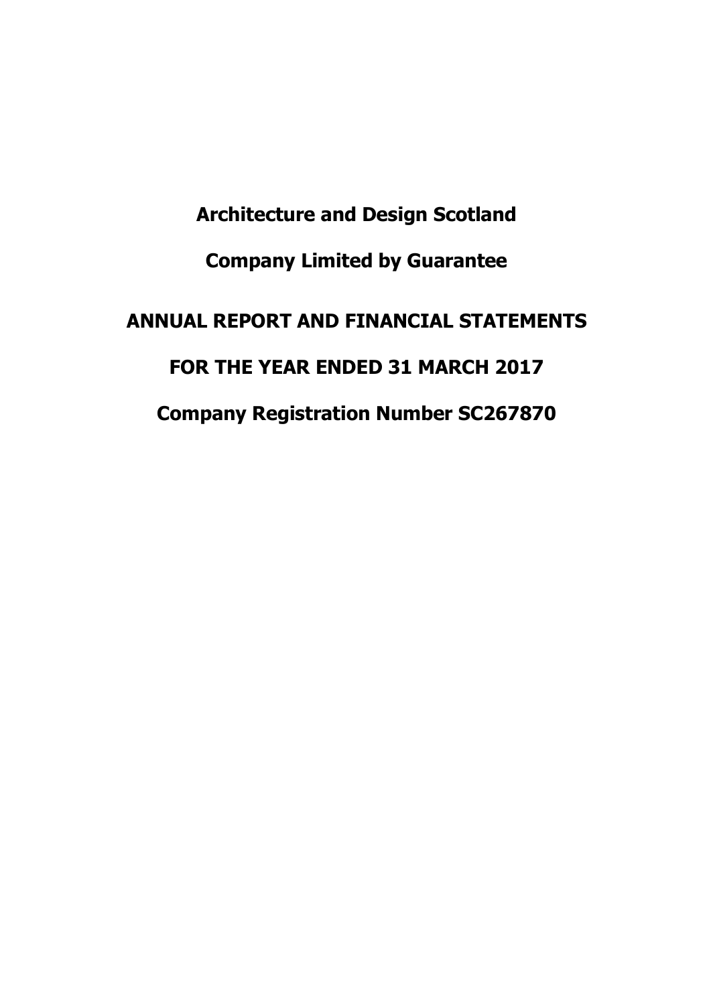**Architecture and Design Scotland Company Limited by Guarantee ANNUAL REPORT AND FINANCIAL STATEMENTS FOR THE YEAR ENDED 31 MARCH 2017 Company Registration Number SC267870**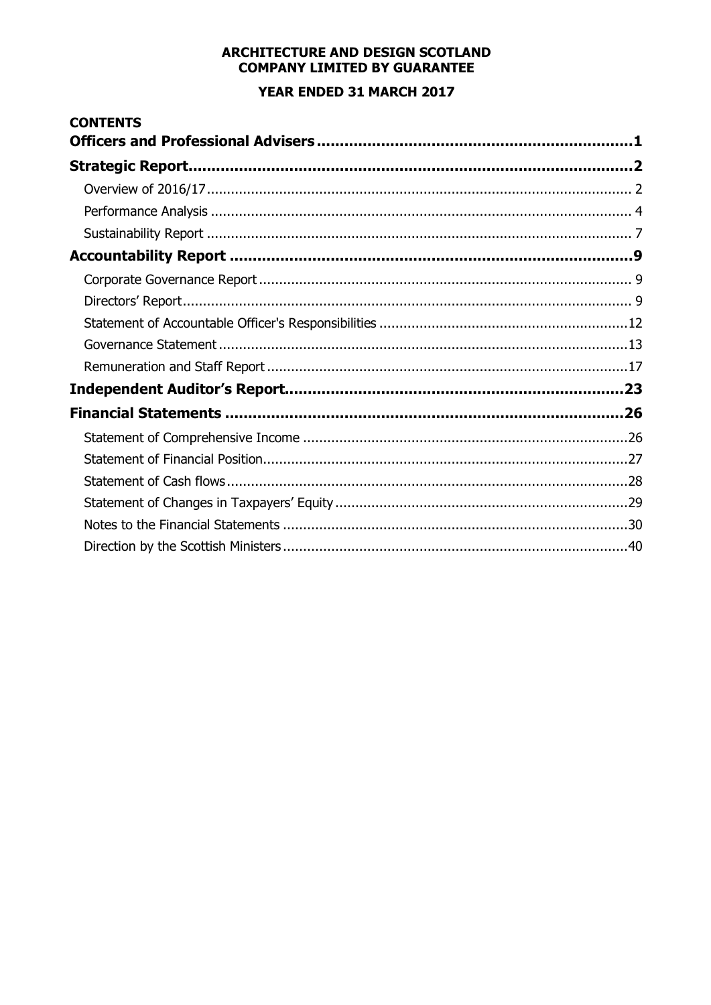# ARCHITECTURE AND DESIGN SCOTLAND **COMPANY LIMITED BY GUARANTEE** YEAR ENDED 31 MARCH 2017

| <b>CONTENTS</b> |  |
|-----------------|--|
|                 |  |
|                 |  |
|                 |  |
|                 |  |
|                 |  |
|                 |  |
|                 |  |
|                 |  |
|                 |  |
|                 |  |
|                 |  |
|                 |  |
|                 |  |
|                 |  |
|                 |  |
|                 |  |
|                 |  |
|                 |  |
|                 |  |
|                 |  |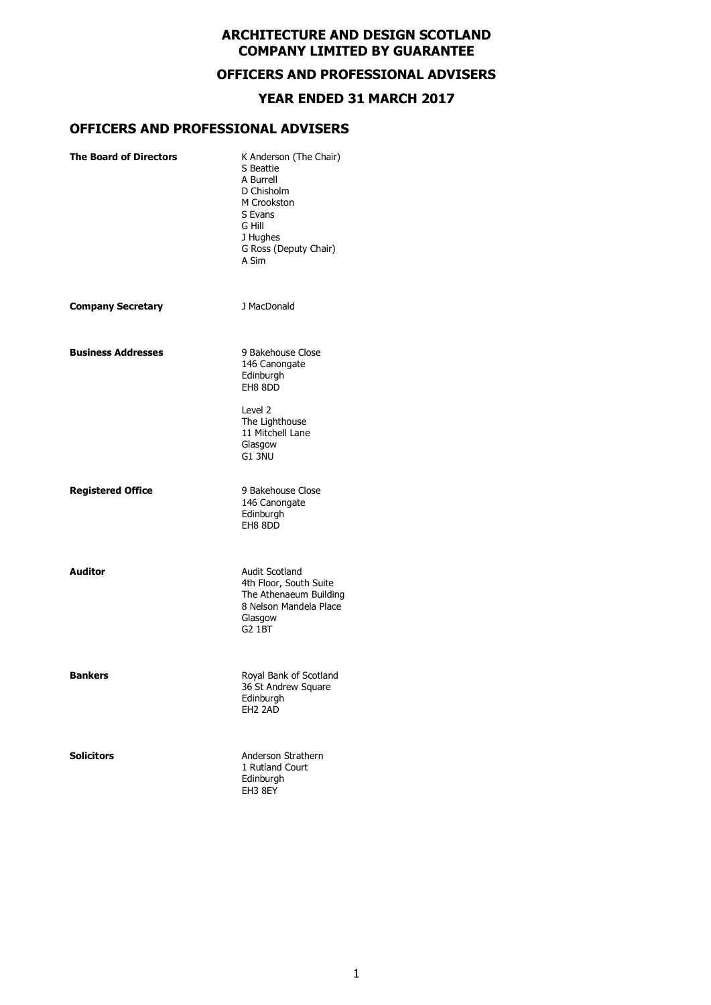# **OFFICERS AND PROFESSIONAL ADVISERS**

#### **YEAR ENDED 31 MARCH 2017**

# **OFFICERS AND PROFESSIONAL ADVISERS**

| <b>The Board of Directors</b> | K Anderson (The Chair)<br>S Beattie<br>A Burrell<br>D Chisholm<br>M Crookston<br>S Evans<br>G Hill<br>J Hughes<br>G Ross (Deputy Chair)<br>A Sim |
|-------------------------------|--------------------------------------------------------------------------------------------------------------------------------------------------|
| <b>Company Secretary</b>      | J MacDonald                                                                                                                                      |
| <b>Business Addresses</b>     | 9 Bakehouse Close<br>146 Canongate<br>Edinburgh<br>EH8 8DD                                                                                       |
|                               | Level 2<br>The Lighthouse<br>11 Mitchell Lane<br>Glasgow<br>G1 3NU                                                                               |
| <b>Registered Office</b>      | 9 Bakehouse Close<br>146 Canongate<br>Edinburgh<br>EH8 8DD                                                                                       |
| <b>Auditor</b>                | <b>Audit Scotland</b><br>4th Floor, South Suite<br>The Athenaeum Building<br>8 Nelson Mandela Place<br>Glasgow<br>G2 1BT                         |
| <b>Bankers</b>                | Royal Bank of Scotland<br>36 St Andrew Square<br>Edinburgh<br>EH <sub>2</sub> 2AD                                                                |
| <b>Solicitors</b>             | Anderson Strathern<br>1 Rutland Court<br>Edinburgh<br>EH3 8EY                                                                                    |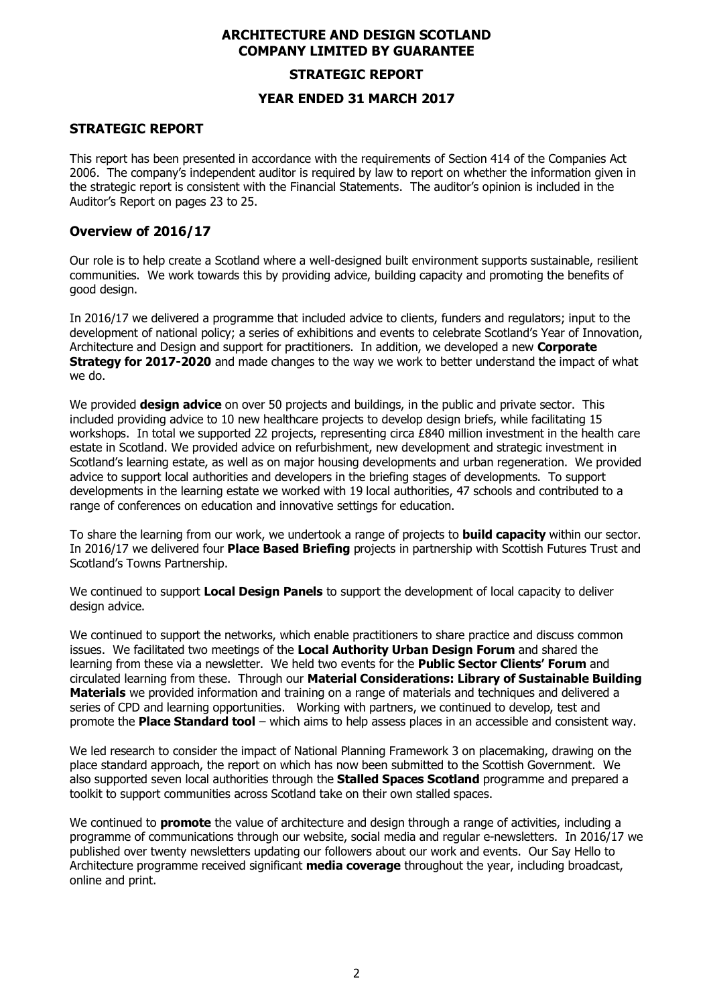#### **STRATEGIC REPORT**

#### **YEAR ENDED 31 MARCH 2017**

### **STRATEGIC REPORT**

This report has been presented in accordance with the requirements of Section 414 of the Companies Act 2006. The company's independent auditor is required by law to report on whether the information given in the strategic report is consistent with the Financial Statements. The auditor's opinion is included in the Auditor's Report on pages 23 to 25.

#### **Overview of 2016/17**

Our role is to help create a Scotland where a well-designed built environment supports sustainable, resilient communities. We work towards this by providing advice, building capacity and promoting the benefits of good design.

In 2016/17 we delivered a programme that included advice to clients, funders and regulators; input to the development of national policy; a series of exhibitions and events to celebrate Scotland's Year of Innovation, Architecture and Design and support for practitioners. In addition, we developed a new **Corporate Strategy for 2017-2020** and made changes to the way we work to better understand the impact of what we do.

We provided **design advice** on over 50 projects and buildings, in the public and private sector. This included providing advice to 10 new healthcare projects to develop design briefs, while facilitating 15 workshops. In total we supported 22 projects, representing circa £840 million investment in the health care estate in Scotland. We provided advice on refurbishment, new development and strategic investment in Scotland's learning estate, as well as on major housing developments and urban regeneration. We provided advice to support local authorities and developers in the briefing stages of developments. To support developments in the learning estate we worked with 19 local authorities, 47 schools and contributed to a range of conferences on education and innovative settings for education.

To share the learning from our work, we undertook a range of projects to **build capacity** within our sector. In 2016/17 we delivered four **Place Based Briefing** projects in partnership with Scottish Futures Trust and Scotland's Towns Partnership.

We continued to support **Local Design Panels** to support the development of local capacity to deliver design advice.

We continued to support the networks, which enable practitioners to share practice and discuss common issues. We facilitated two meetings of the **Local Authority Urban Design Forum** and shared the learning from these via a newsletter. We held two events for the **Public Sector Clients' Forum** and circulated learning from these. Through our **Material Considerations: Library of Sustainable Building Materials** we provided information and training on a range of materials and techniques and delivered a series of CPD and learning opportunities. Working with partners, we continued to develop, test and promote the **Place Standard tool** – which aims to help assess places in an accessible and consistent way.

We led research to consider the impact of National Planning Framework 3 on placemaking, drawing on the place standard approach, the report on which has now been submitted to the Scottish Government. We also supported seven local authorities through the **Stalled Spaces Scotland** programme and prepared a toolkit to support communities across Scotland take on their own stalled spaces.

We continued to **promote** the value of architecture and design through a range of activities, including a programme of communications through our website, social media and regular e-newsletters. In 2016/17 we published over twenty newsletters updating our followers about our work and events. Our Say Hello to Architecture programme received significant **media coverage** throughout the year, including broadcast, online and print.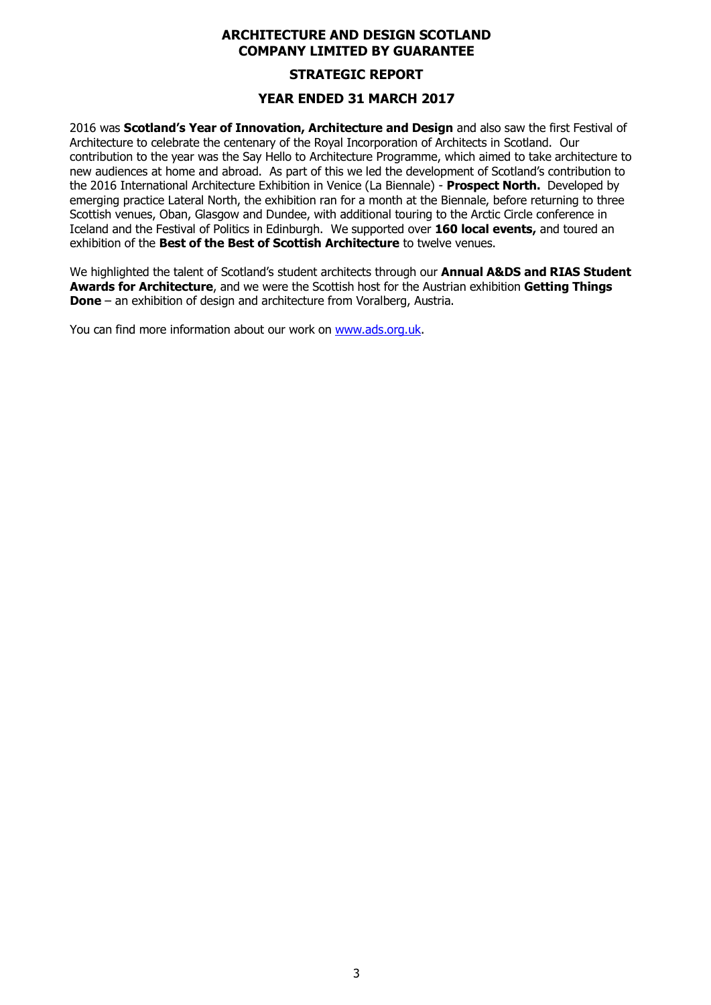# **STRATEGIC REPORT**

### **YEAR ENDED 31 MARCH 2017**

2016 was **Scotland's Year of Innovation, Architecture and Design** and also saw the first Festival of Architecture to celebrate the centenary of the Royal Incorporation of Architects in Scotland. Our contribution to the year was the Say Hello to Architecture Programme, which aimed to take architecture to new audiences at home and abroad. As part of this we led the development of Scotland's contribution to the 2016 International Architecture Exhibition in Venice (La Biennale) - **Prospect North.** Developed by emerging practice Lateral North, the exhibition ran for a month at the Biennale, before returning to three Scottish venues, Oban, Glasgow and Dundee, with additional touring to the Arctic Circle conference in Iceland and the Festival of Politics in Edinburgh. We supported over **160 local events,** and toured an exhibition of the **Best of the Best of Scottish Architecture** to twelve venues.

We highlighted the talent of Scotland's student architects through our **Annual A&DS and RIAS Student Awards for Architecture**, and we were the Scottish host for the Austrian exhibition **Getting Things Done** – an exhibition of design and architecture from Voralberg, Austria.

You can find more information about our work on www.ads.org.uk.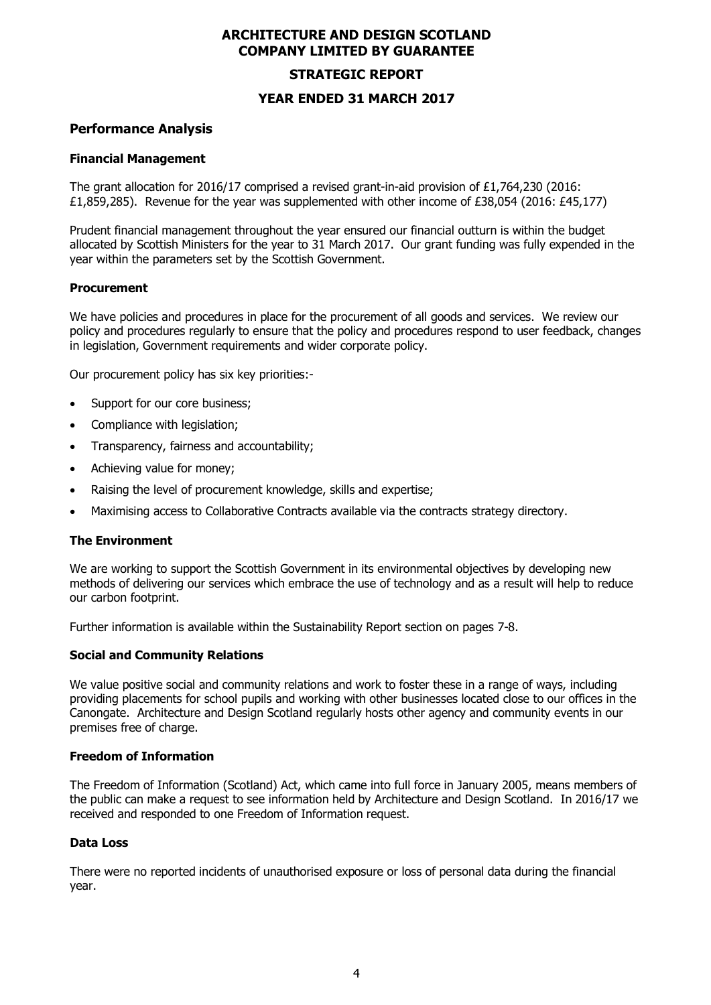#### **STRATEGIC REPORT**

#### **YEAR ENDED 31 MARCH 2017**

#### **Performance Analysis**

#### **Financial Management**

The grant allocation for 2016/17 comprised a revised grant-in-aid provision of £1,764,230 (2016: £1,859,285). Revenue for the year was supplemented with other income of £38,054 (2016: £45,177)

Prudent financial management throughout the year ensured our financial outturn is within the budget allocated by Scottish Ministers for the year to 31 March 2017. Our grant funding was fully expended in the year within the parameters set by the Scottish Government.

#### **Procurement**

We have policies and procedures in place for the procurement of all goods and services. We review our policy and procedures regularly to ensure that the policy and procedures respond to user feedback, changes in legislation, Government requirements and wider corporate policy.

Our procurement policy has six key priorities:-

- Support for our core business;
- Compliance with legislation;
- Transparency, fairness and accountability;
- Achieving value for money;
- Raising the level of procurement knowledge, skills and expertise;
- Maximising access to Collaborative Contracts available via the contracts strategy directory.

#### **The Environment**

We are working to support the Scottish Government in its environmental objectives by developing new methods of delivering our services which embrace the use of technology and as a result will help to reduce our carbon footprint.

Further information is available within the Sustainability Report section on pages 7-8.

#### **Social and Community Relations**

We value positive social and community relations and work to foster these in a range of ways, including providing placements for school pupils and working with other businesses located close to our offices in the Canongate. Architecture and Design Scotland regularly hosts other agency and community events in our premises free of charge.

#### **Freedom of Information**

The Freedom of Information (Scotland) Act, which came into full force in January 2005, means members of the public can make a request to see information held by Architecture and Design Scotland. In 2016/17 we received and responded to one Freedom of Information request.

#### **Data Loss**

There were no reported incidents of unauthorised exposure or loss of personal data during the financial year.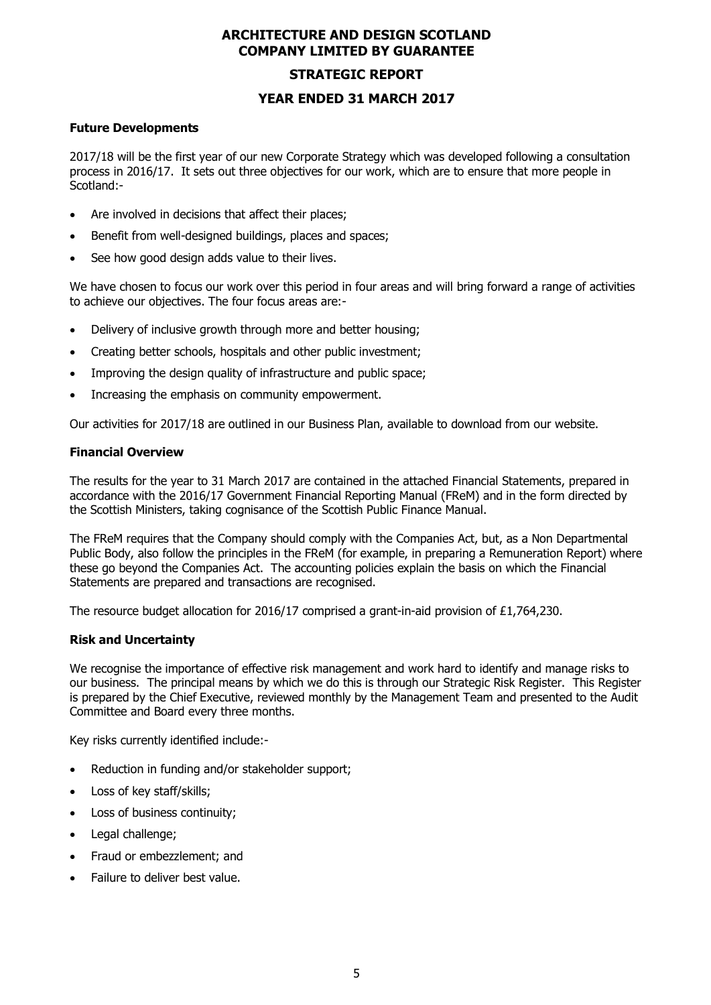#### **STRATEGIC REPORT**

#### **YEAR ENDED 31 MARCH 2017**

#### **Future Developments**

2017/18 will be the first year of our new Corporate Strategy which was developed following a consultation process in 2016/17. It sets out three objectives for our work, which are to ensure that more people in Scotland:-

- Are involved in decisions that affect their places;
- Benefit from well-designed buildings, places and spaces;
- See how good design adds value to their lives.

We have chosen to focus our work over this period in four areas and will bring forward a range of activities to achieve our objectives. The four focus areas are:-

- Delivery of inclusive growth through more and better housing;
- Creating better schools, hospitals and other public investment;
- Improving the design quality of infrastructure and public space;
- Increasing the emphasis on community empowerment.

Our activities for 2017/18 are outlined in our Business Plan, available to download from our website.

#### **Financial Overview**

The results for the year to 31 March 2017 are contained in the attached Financial Statements, prepared in accordance with the 2016/17 Government Financial Reporting Manual (FReM) and in the form directed by the Scottish Ministers, taking cognisance of the Scottish Public Finance Manual.

The FReM requires that the Company should comply with the Companies Act, but, as a Non Departmental Public Body, also follow the principles in the FReM (for example, in preparing a Remuneration Report) where these go beyond the Companies Act. The accounting policies explain the basis on which the Financial Statements are prepared and transactions are recognised.

The resource budget allocation for 2016/17 comprised a grant-in-aid provision of £1,764,230.

#### **Risk and Uncertainty**

We recognise the importance of effective risk management and work hard to identify and manage risks to our business. The principal means by which we do this is through our Strategic Risk Register. This Register is prepared by the Chief Executive, reviewed monthly by the Management Team and presented to the Audit Committee and Board every three months.

Key risks currently identified include:-

- Reduction in funding and/or stakeholder support;
- Loss of key staff/skills;
- Loss of business continuity;
- Legal challenge;
- Fraud or embezzlement; and
- Failure to deliver best value.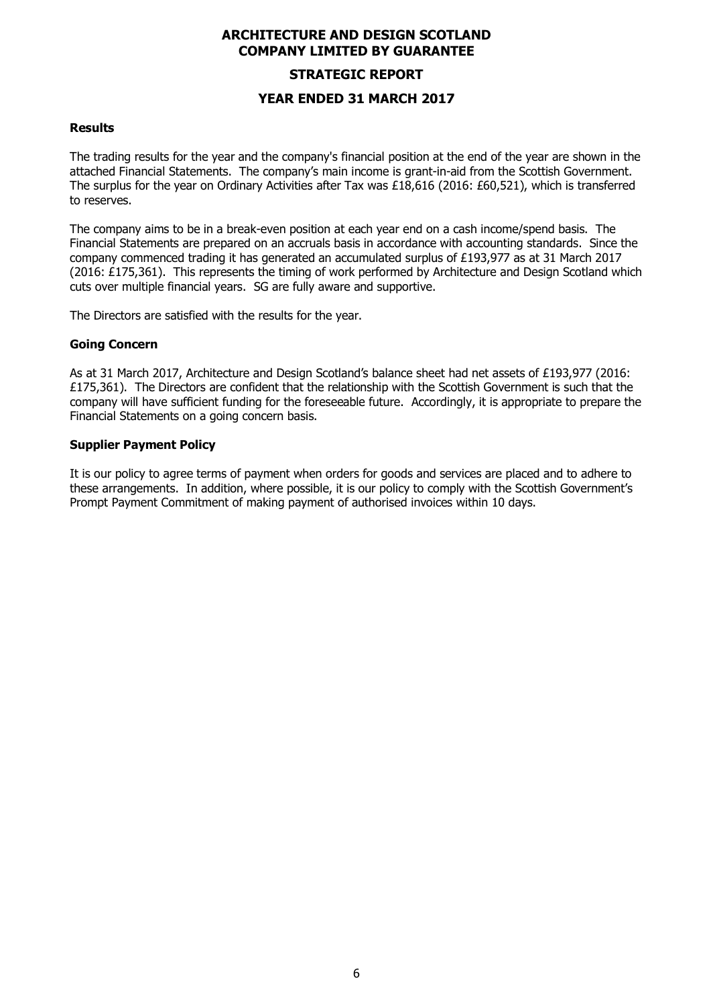# **STRATEGIC REPORT YEAR ENDED 31 MARCH 2017**

#### **Results**

The trading results for the year and the company's financial position at the end of the year are shown in the attached Financial Statements. The company's main income is grant-in-aid from the Scottish Government. The surplus for the year on Ordinary Activities after Tax was £18,616 (2016: £60,521), which is transferred to reserves.

The company aims to be in a break-even position at each year end on a cash income/spend basis. The Financial Statements are prepared on an accruals basis in accordance with accounting standards. Since the company commenced trading it has generated an accumulated surplus of £193,977 as at 31 March 2017 (2016: £175,361). This represents the timing of work performed by Architecture and Design Scotland which cuts over multiple financial years. SG are fully aware and supportive.

The Directors are satisfied with the results for the year.

#### **Going Concern**

As at 31 March 2017, Architecture and Design Scotland's balance sheet had net assets of £193,977 (2016: £175,361). The Directors are confident that the relationship with the Scottish Government is such that the company will have sufficient funding for the foreseeable future. Accordingly, it is appropriate to prepare the Financial Statements on a going concern basis.

#### **Supplier Payment Policy**

It is our policy to agree terms of payment when orders for goods and services are placed and to adhere to these arrangements. In addition, where possible, it is our policy to comply with the Scottish Government's Prompt Payment Commitment of making payment of authorised invoices within 10 days.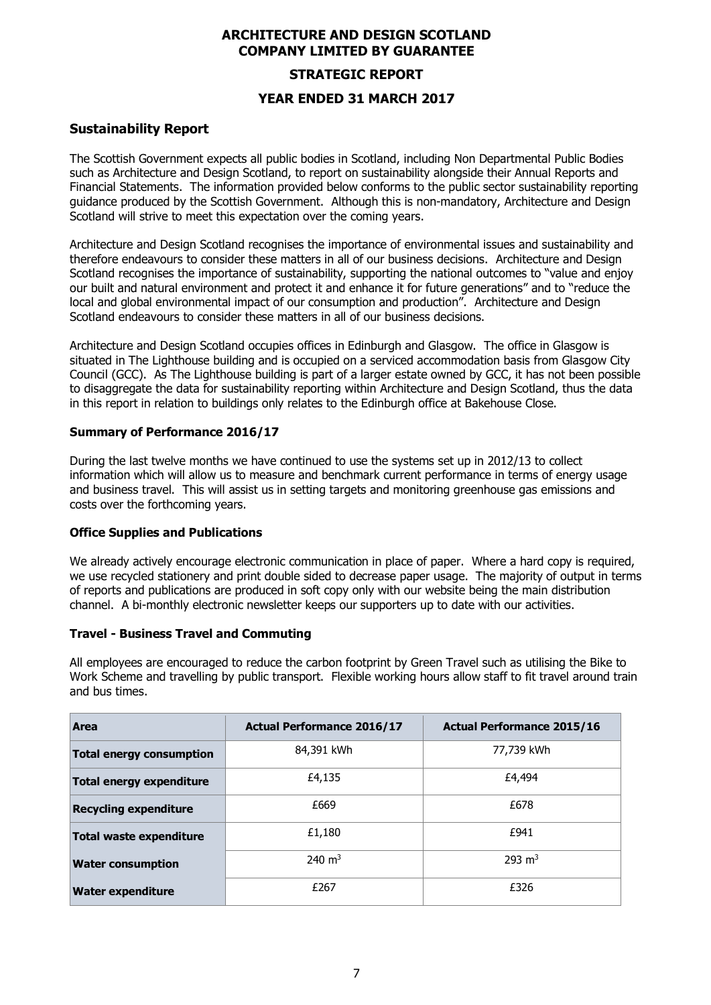# **STRATEGIC REPORT YEAR ENDED 31 MARCH 2017**

# **Sustainability Report**

The Scottish Government expects all public bodies in Scotland, including Non Departmental Public Bodies such as Architecture and Design Scotland, to report on sustainability alongside their Annual Reports and Financial Statements. The information provided below conforms to the public sector sustainability reporting guidance produced by the Scottish Government. Although this is non-mandatory, Architecture and Design Scotland will strive to meet this expectation over the coming years.

Architecture and Design Scotland recognises the importance of environmental issues and sustainability and therefore endeavours to consider these matters in all of our business decisions. Architecture and Design Scotland recognises the importance of sustainability, supporting the national outcomes to "value and enjoy our built and natural environment and protect it and enhance it for future generations" and to "reduce the local and global environmental impact of our consumption and production". Architecture and Design Scotland endeavours to consider these matters in all of our business decisions.

Architecture and Design Scotland occupies offices in Edinburgh and Glasgow. The office in Glasgow is situated in The Lighthouse building and is occupied on a serviced accommodation basis from Glasgow City Council (GCC). As The Lighthouse building is part of a larger estate owned by GCC, it has not been possible to disaggregate the data for sustainability reporting within Architecture and Design Scotland, thus the data in this report in relation to buildings only relates to the Edinburgh office at Bakehouse Close.

# **Summary of Performance 2016/17**

During the last twelve months we have continued to use the systems set up in 2012/13 to collect information which will allow us to measure and benchmark current performance in terms of energy usage and business travel. This will assist us in setting targets and monitoring greenhouse gas emissions and costs over the forthcoming years.

#### **Office Supplies and Publications**

We already actively encourage electronic communication in place of paper. Where a hard copy is required, we use recycled stationery and print double sided to decrease paper usage. The majority of output in terms of reports and publications are produced in soft copy only with our website being the main distribution channel. A bi-monthly electronic newsletter keeps our supporters up to date with our activities.

#### **Travel - Business Travel and Commuting**

All employees are encouraged to reduce the carbon footprint by Green Travel such as utilising the Bike to Work Scheme and travelling by public transport. Flexible working hours allow staff to fit travel around train and bus times.

| Area                            | <b>Actual Performance 2016/17</b> | <b>Actual Performance 2015/16</b> |
|---------------------------------|-----------------------------------|-----------------------------------|
| <b>Total energy consumption</b> | 84,391 kWh                        | 77,739 kWh                        |
| <b>Total energy expenditure</b> | £4,135                            | £4,494                            |
| <b>Recycling expenditure</b>    | £669                              | £678                              |
| Total waste expenditure         | £1,180                            | £941                              |
| <b>Water consumption</b>        | 240 $m3$                          | $293 \text{ m}^3$                 |
| <b>Water expenditure</b>        | £267                              | £326                              |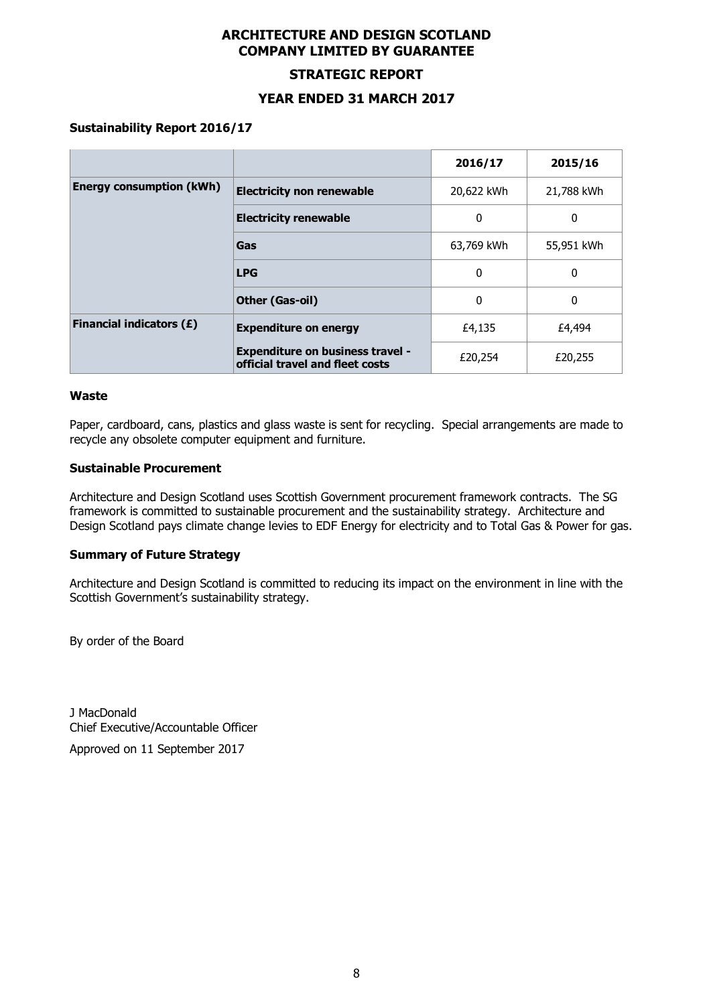#### **STRATEGIC REPORT**

#### **YEAR ENDED 31 MARCH 2017**

#### **Sustainability Report 2016/17**

|                                 |                                                                            | 2016/17    | 2015/16     |
|---------------------------------|----------------------------------------------------------------------------|------------|-------------|
| <b>Energy consumption (kWh)</b> | <b>Electricity non renewable</b>                                           | 20,622 kWh | 21,788 kWh  |
|                                 | <b>Electricity renewable</b>                                               | 0          | 0           |
|                                 | Gas                                                                        | 63,769 kWh | 55,951 kWh  |
|                                 | <b>LPG</b>                                                                 | 0          | 0           |
|                                 | Other (Gas-oil)                                                            |            | $\mathbf 0$ |
| <b>Financial indicators (£)</b> | <b>Expenditure on energy</b>                                               | £4,135     | £4,494      |
|                                 | <b>Expenditure on business travel -</b><br>official travel and fleet costs | £20,254    | £20,255     |

#### **Waste**

Paper, cardboard, cans, plastics and glass waste is sent for recycling. Special arrangements are made to recycle any obsolete computer equipment and furniture.

#### **Sustainable Procurement**

Architecture and Design Scotland uses Scottish Government procurement framework contracts. The SG framework is committed to sustainable procurement and the sustainability strategy. Architecture and Design Scotland pays climate change levies to EDF Energy for electricity and to Total Gas & Power for gas.

#### **Summary of Future Strategy**

Architecture and Design Scotland is committed to reducing its impact on the environment in line with the Scottish Government's sustainability strategy.

By order of the Board

J MacDonald Chief Executive/Accountable Officer

Approved on 11 September 2017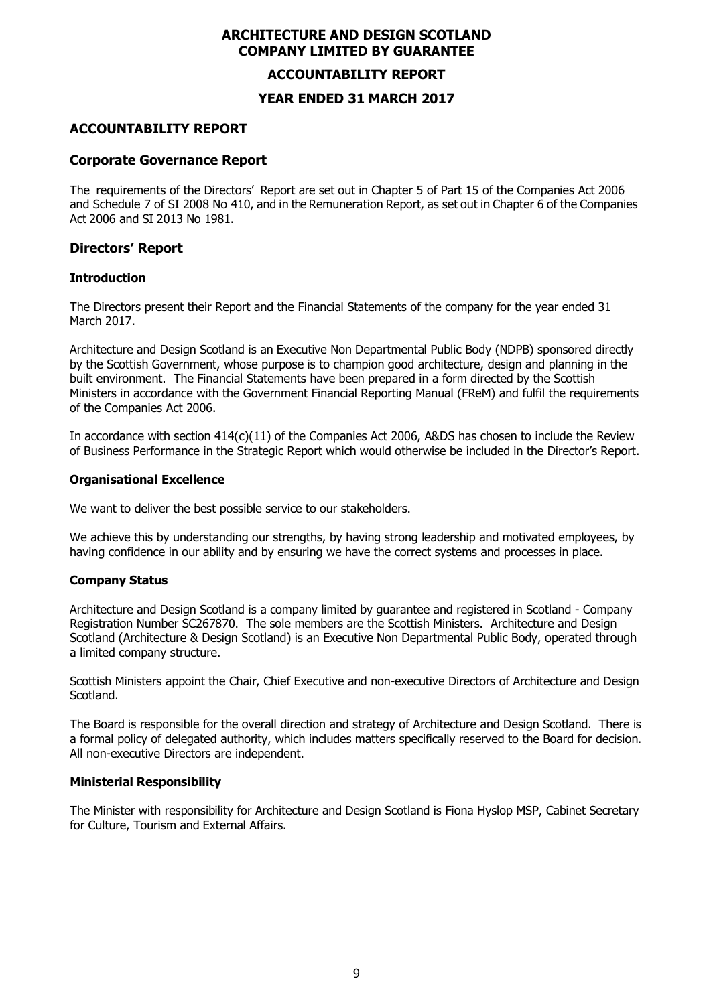#### **ACCOUNTABILITY REPORT**

#### **YEAR ENDED 31 MARCH 2017**

## **ACCOUNTABILITY REPORT**

#### **Corporate Governance Report**

The requirements of the Directors' Report are set out in Chapter 5 of Part 15 of the Companies Act 2006 and Schedule 7 of SI 2008 No 410, and in the Remuneration Report, as set out in Chapter 6 of the Companies Act 2006 and SI 2013 No 1981.

#### **Directors' Report**

#### **Introduction**

The Directors present their Report and the Financial Statements of the company for the year ended 31 March 2017.

Architecture and Design Scotland is an Executive Non Departmental Public Body (NDPB) sponsored directly by the Scottish Government, whose purpose is to champion good architecture, design and planning in the built environment. The Financial Statements have been prepared in a form directed by the Scottish Ministers in accordance with the Government Financial Reporting Manual (FReM) and fulfil the requirements of the Companies Act 2006.

In accordance with section 414(c)(11) of the Companies Act 2006, A&DS has chosen to include the Review of Business Performance in the Strategic Report which would otherwise be included in the Director's Report.

#### **Organisational Excellence**

We want to deliver the best possible service to our stakeholders.

We achieve this by understanding our strengths, by having strong leadership and motivated employees, by having confidence in our ability and by ensuring we have the correct systems and processes in place.

#### **Company Status**

Architecture and Design Scotland is a company limited by guarantee and registered in Scotland - Company Registration Number SC267870. The sole members are the Scottish Ministers. Architecture and Design Scotland (Architecture & Design Scotland) is an Executive Non Departmental Public Body, operated through a limited company structure.

Scottish Ministers appoint the Chair, Chief Executive and non-executive Directors of Architecture and Design Scotland.

The Board is responsible for the overall direction and strategy of Architecture and Design Scotland. There is a formal policy of delegated authority, which includes matters specifically reserved to the Board for decision. All non-executive Directors are independent.

#### **Ministerial Responsibility**

The Minister with responsibility for Architecture and Design Scotland is Fiona Hyslop MSP, Cabinet Secretary for Culture, Tourism and External Affairs.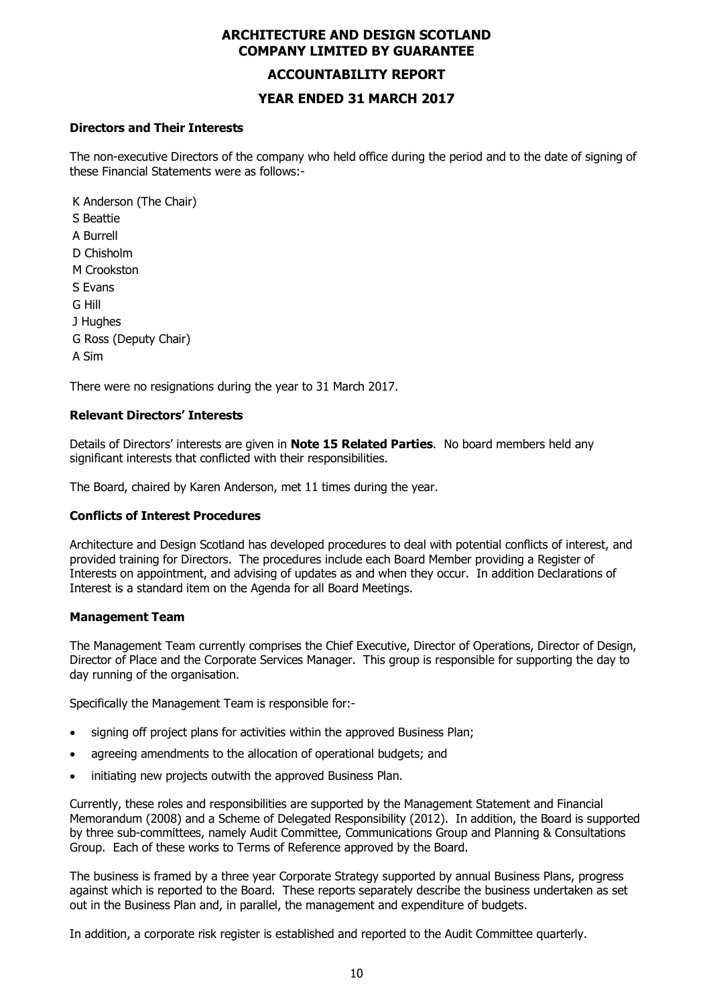#### **ACCOUNTABILITY REPORT**

#### **YEAR ENDED 31 MARCH 2017**

#### **Directors and Their Interests**

The non-executive Directors of the company who held office during the period and to the date of signing of these Financial Statements were as follows:-

K Anderson (The Chair) S Beattie A Burrell D Chisholm M Crookston S Evans G Hill J Hughes G Ross (Deputy Chair) A Sim

There were no resignations during the year to 31 March 2017.

#### **Relevant Directors' Interests**

Details of Directors' interests are given in **Note 15 Related Parties**. No board members held any significant interests that conflicted with their responsibilities.

The Board, chaired by Karen Anderson, met 11 times during the year.

#### **Conflicts of Interest Procedures**

Architecture and Design Scotland has developed procedures to deal with potential conflicts of interest, and provided training for Directors. The procedures include each Board Member providing a Register of Interests on appointment, and advising of updates as and when they occur. In addition Declarations of Interest is a standard item on the Agenda for all Board Meetings.

#### **Management Team**

The Management Team currently comprises the Chief Executive, Director of Operations, Director of Design, Director of Place and the Corporate Services Manager. This group is responsible for supporting the day to day running of the organisation.

Specifically the Management Team is responsible for:-

- signing off project plans for activities within the approved Business Plan;
- agreeing amendments to the allocation of operational budgets; and
- initiating new projects outwith the approved Business Plan.

Currently, these roles and responsibilities are supported by the Management Statement and Financial Memorandum (2008) and a Scheme of Delegated Responsibility (2012). In addition, the Board is supported by three sub-committees, namely Audit Committee, Communications Group and Planning & Consultations Group. Each of these works to Terms of Reference approved by the Board.

The business is framed by a three year Corporate Strategy supported by annual Business Plans, progress against which is reported to the Board. These reports separately describe the business undertaken as set out in the Business Plan and, in parallel, the management and expenditure of budgets.

In addition, a corporate risk register is established and reported to the Audit Committee quarterly.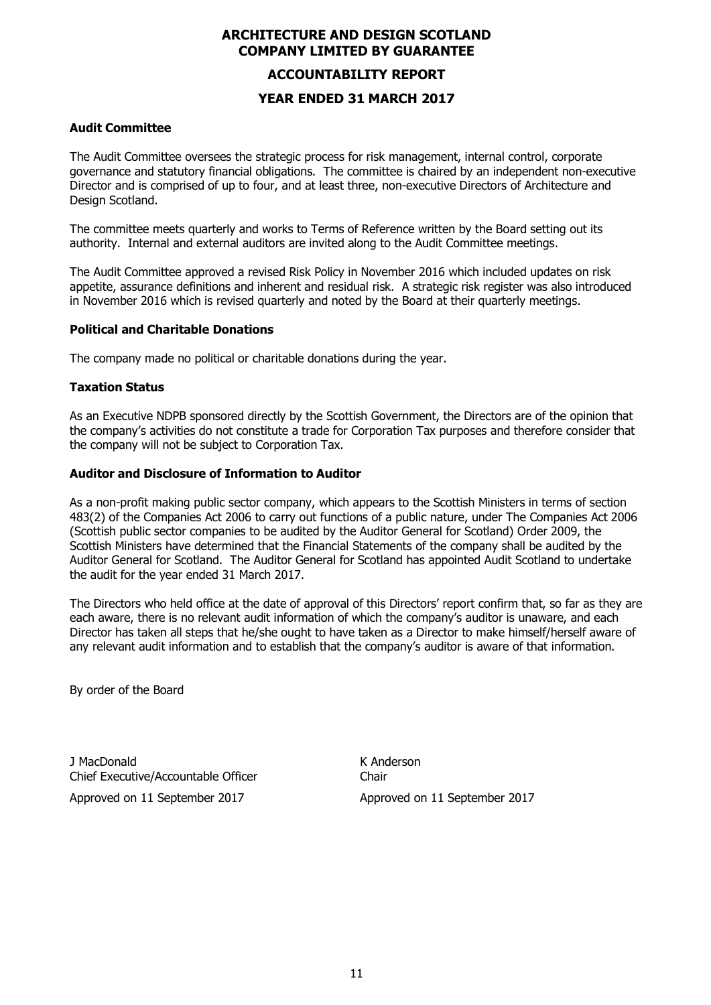# **ACCOUNTABILITY REPORT**

#### **YEAR ENDED 31 MARCH 2017**

#### **Audit Committee**

The Audit Committee oversees the strategic process for risk management, internal control, corporate governance and statutory financial obligations. The committee is chaired by an independent non-executive Director and is comprised of up to four, and at least three, non-executive Directors of Architecture and Design Scotland.

The committee meets quarterly and works to Terms of Reference written by the Board setting out its authority. Internal and external auditors are invited along to the Audit Committee meetings.

The Audit Committee approved a revised Risk Policy in November 2016 which included updates on risk appetite, assurance definitions and inherent and residual risk. A strategic risk register was also introduced in November 2016 which is revised quarterly and noted by the Board at their quarterly meetings.

#### **Political and Charitable Donations**

The company made no political or charitable donations during the year.

# **Taxation Status**

As an Executive NDPB sponsored directly by the Scottish Government, the Directors are of the opinion that the company's activities do not constitute a trade for Corporation Tax purposes and therefore consider that the company will not be subject to Corporation Tax.

#### **Auditor and Disclosure of Information to Auditor**

As a non-profit making public sector company, which appears to the Scottish Ministers in terms of section 483(2) of the Companies Act 2006 to carry out functions of a public nature, under The Companies Act 2006 (Scottish public sector companies to be audited by the Auditor General for Scotland) Order 2009, the Scottish Ministers have determined that the Financial Statements of the company shall be audited by the Auditor General for Scotland. The Auditor General for Scotland has appointed Audit Scotland to undertake the audit for the year ended 31 March 2017.

The Directors who held office at the date of approval of this Directors' report confirm that, so far as they are each aware, there is no relevant audit information of which the company's auditor is unaware, and each Director has taken all steps that he/she ought to have taken as a Director to make himself/herself aware of any relevant audit information and to establish that the company's auditor is aware of that information.

By order of the Board

J MacDonald K Anderson Chief Executive/Accountable Officer Chair Approved on 11 September 2017 Approved on 11 September 2017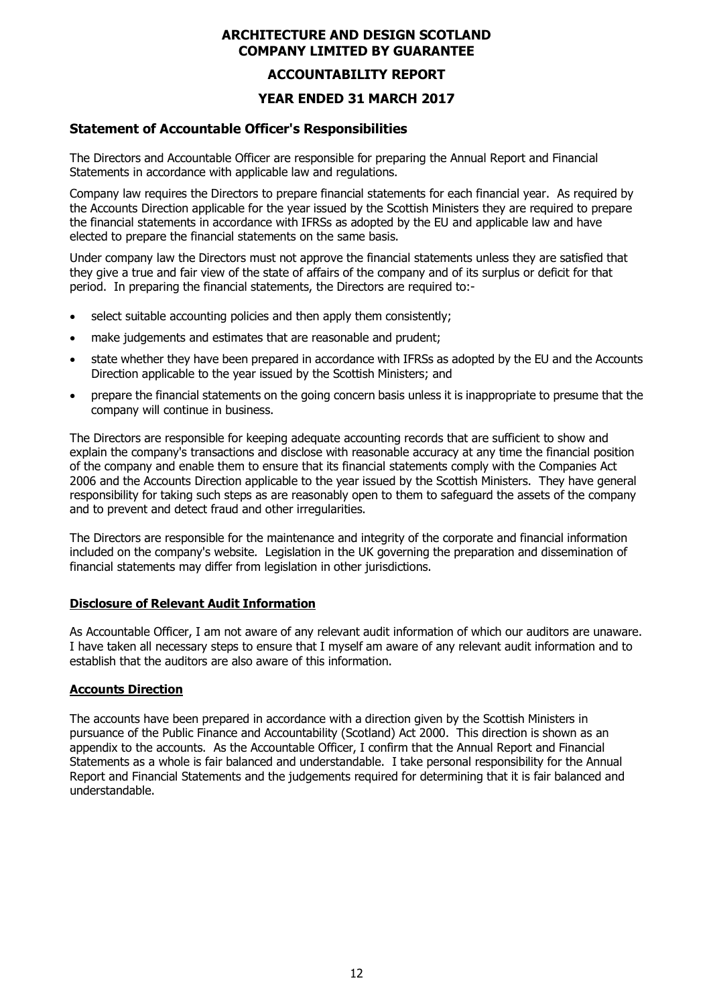#### **ACCOUNTABILITY REPORT**

## **YEAR ENDED 31 MARCH 2017**

### **Statement of Accountable Officer's Responsibilities**

The Directors and Accountable Officer are responsible for preparing the Annual Report and Financial Statements in accordance with applicable law and regulations.

Company law requires the Directors to prepare financial statements for each financial year. As required by the Accounts Direction applicable for the year issued by the Scottish Ministers they are required to prepare the financial statements in accordance with IFRSs as adopted by the EU and applicable law and have elected to prepare the financial statements on the same basis.

Under company law the Directors must not approve the financial statements unless they are satisfied that they give a true and fair view of the state of affairs of the company and of its surplus or deficit for that period. In preparing the financial statements, the Directors are required to:-

- select suitable accounting policies and then apply them consistently;
- make judgements and estimates that are reasonable and prudent;
- state whether they have been prepared in accordance with IFRSs as adopted by the EU and the Accounts Direction applicable to the year issued by the Scottish Ministers; and
- prepare the financial statements on the going concern basis unless it is inappropriate to presume that the company will continue in business.

The Directors are responsible for keeping adequate accounting records that are sufficient to show and explain the company's transactions and disclose with reasonable accuracy at any time the financial position of the company and enable them to ensure that its financial statements comply with the Companies Act 2006 and the Accounts Direction applicable to the year issued by the Scottish Ministers. They have general responsibility for taking such steps as are reasonably open to them to safeguard the assets of the company and to prevent and detect fraud and other irregularities.

The Directors are responsible for the maintenance and integrity of the corporate and financial information included on the company's website. Legislation in the UK governing the preparation and dissemination of financial statements may differ from legislation in other jurisdictions.

#### **Disclosure of Relevant Audit Information**

As Accountable Officer, I am not aware of any relevant audit information of which our auditors are unaware. I have taken all necessary steps to ensure that I myself am aware of any relevant audit information and to establish that the auditors are also aware of this information.

#### **Accounts Direction**

The accounts have been prepared in accordance with a direction given by the Scottish Ministers in pursuance of the Public Finance and Accountability (Scotland) Act 2000. This direction is shown as an appendix to the accounts. As the Accountable Officer, I confirm that the Annual Report and Financial Statements as a whole is fair balanced and understandable. I take personal responsibility for the Annual Report and Financial Statements and the judgements required for determining that it is fair balanced and understandable.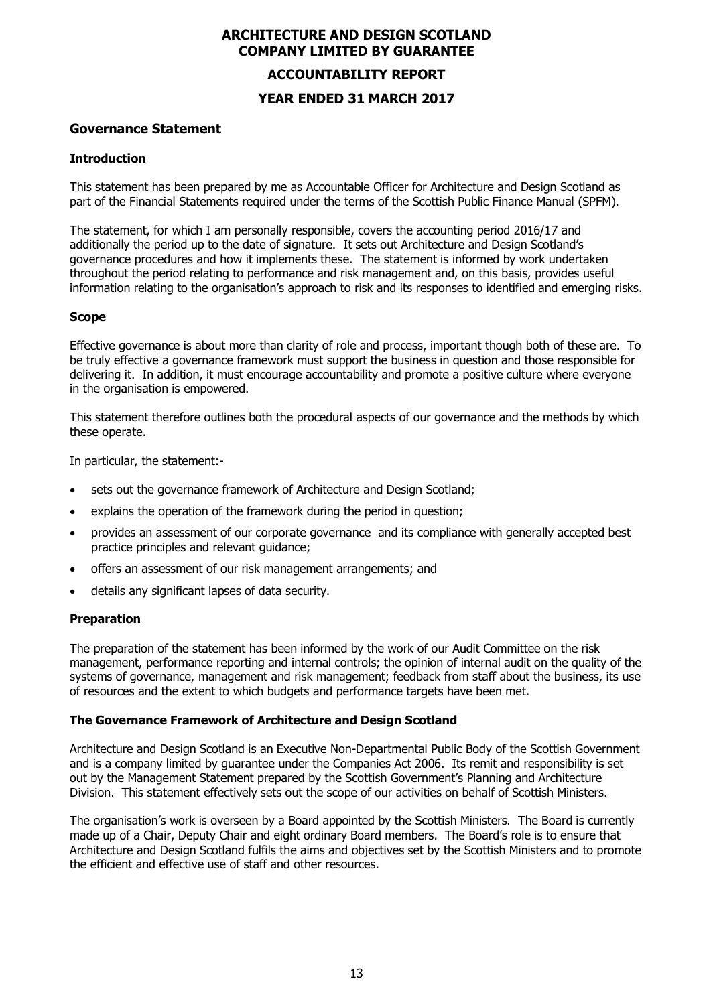# **ACCOUNTABILITY REPORT**

# **YEAR ENDED 31 MARCH 2017**

#### **Governance Statement**

#### **Introduction**

This statement has been prepared by me as Accountable Officer for Architecture and Design Scotland as part of the Financial Statements required under the terms of the Scottish Public Finance Manual (SPFM).

The statement, for which I am personally responsible, covers the accounting period 2016/17 and additionally the period up to the date of signature. It sets out Architecture and Design Scotland's governance procedures and how it implements these. The statement is informed by work undertaken throughout the period relating to performance and risk management and, on this basis, provides useful information relating to the organisation's approach to risk and its responses to identified and emerging risks.

#### **Scope**

Effective governance is about more than clarity of role and process, important though both of these are. To be truly effective a governance framework must support the business in question and those responsible for delivering it. In addition, it must encourage accountability and promote a positive culture where everyone in the organisation is empowered.

This statement therefore outlines both the procedural aspects of our governance and the methods by which these operate.

In particular, the statement:-

- sets out the governance framework of Architecture and Design Scotland;
- explains the operation of the framework during the period in question;
- provides an assessment of our corporate governance and its compliance with generally accepted best practice principles and relevant guidance;
- offers an assessment of our risk management arrangements; and
- details any significant lapses of data security.

#### **Preparation**

The preparation of the statement has been informed by the work of our Audit Committee on the risk management, performance reporting and internal controls; the opinion of internal audit on the quality of the systems of governance, management and risk management; feedback from staff about the business, its use of resources and the extent to which budgets and performance targets have been met.

#### **The Governance Framework of Architecture and Design Scotland**

Architecture and Design Scotland is an Executive Non-Departmental Public Body of the Scottish Government and is a company limited by guarantee under the Companies Act 2006. Its remit and responsibility is set out by the Management Statement prepared by the Scottish Government's Planning and Architecture Division. This statement effectively sets out the scope of our activities on behalf of Scottish Ministers.

The organisation's work is overseen by a Board appointed by the Scottish Ministers. The Board is currently made up of a Chair, Deputy Chair and eight ordinary Board members. The Board's role is to ensure that Architecture and Design Scotland fulfils the aims and objectives set by the Scottish Ministers and to promote the efficient and effective use of staff and other resources.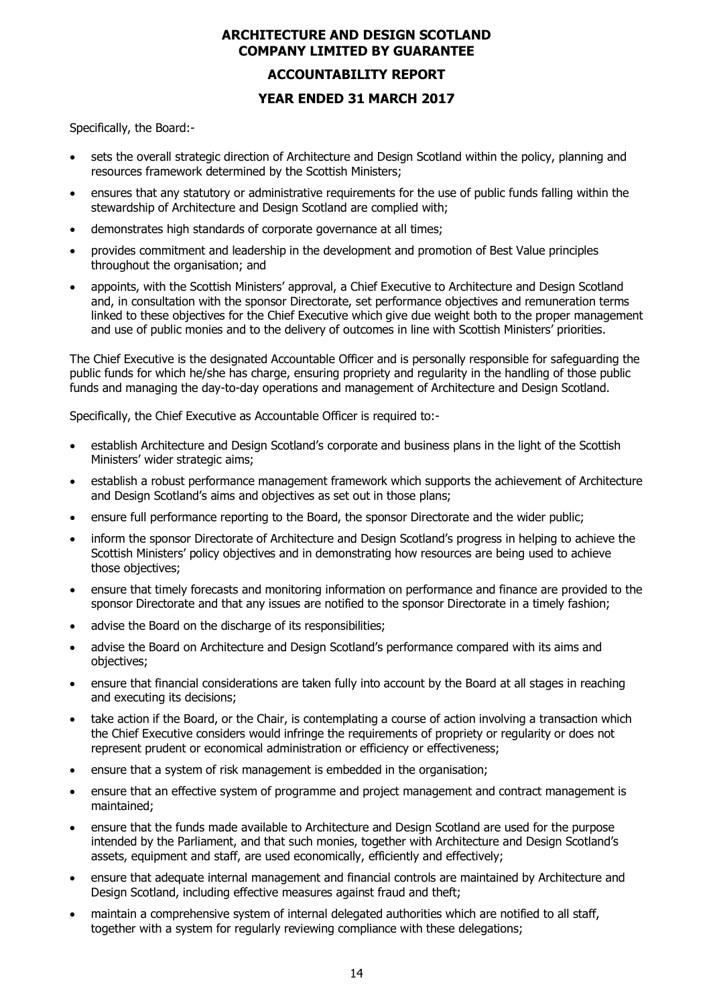# **ACCOUNTABILITY REPORT YEAR ENDED 31 MARCH 2017**

Specifically, the Board:-

- sets the overall strategic direction of Architecture and Design Scotland within the policy, planning and resources framework determined by the Scottish Ministers;
- ensures that any statutory or administrative requirements for the use of public funds falling within the stewardship of Architecture and Design Scotland are complied with;
- demonstrates high standards of corporate governance at all times;
- provides commitment and leadership in the development and promotion of Best Value principles throughout the organisation; and
- appoints, with the Scottish Ministers' approval, a Chief Executive to Architecture and Design Scotland and, in consultation with the sponsor Directorate, set performance objectives and remuneration terms linked to these objectives for the Chief Executive which give due weight both to the proper management and use of public monies and to the delivery of outcomes in line with Scottish Ministers' priorities.

The Chief Executive is the designated Accountable Officer and is personally responsible for safeguarding the public funds for which he/she has charge, ensuring propriety and regularity in the handling of those public funds and managing the day-to-day operations and management of Architecture and Design Scotland.

Specifically, the Chief Executive as Accountable Officer is required to:-

- establish Architecture and Design Scotland's corporate and business plans in the light of the Scottish Ministers' wider strategic aims;
- establish a robust performance management framework which supports the achievement of Architecture and Design Scotland's aims and objectives as set out in those plans;
- ensure full performance reporting to the Board, the sponsor Directorate and the wider public;
- inform the sponsor Directorate of Architecture and Design Scotland's progress in helping to achieve the Scottish Ministers' policy objectives and in demonstrating how resources are being used to achieve those objectives;
- ensure that timely forecasts and monitoring information on performance and finance are provided to the sponsor Directorate and that any issues are notified to the sponsor Directorate in a timely fashion;
- advise the Board on the discharge of its responsibilities;
- advise the Board on Architecture and Design Scotland's performance compared with its aims and objectives;
- ensure that financial considerations are taken fully into account by the Board at all stages in reaching and executing its decisions;
- take action if the Board, or the Chair, is contemplating a course of action involving a transaction which the Chief Executive considers would infringe the requirements of propriety or regularity or does not represent prudent or economical administration or efficiency or effectiveness;
- ensure that a system of risk management is embedded in the organisation;
- ensure that an effective system of programme and project management and contract management is maintained;
- ensure that the funds made available to Architecture and Design Scotland are used for the purpose intended by the Parliament, and that such monies, together with Architecture and Design Scotland's assets, equipment and staff, are used economically, efficiently and effectively;
- ensure that adequate internal management and financial controls are maintained by Architecture and Design Scotland, including effective measures against fraud and theft;
- maintain a comprehensive system of internal delegated authorities which are notified to all staff, together with a system for regularly reviewing compliance with these delegations;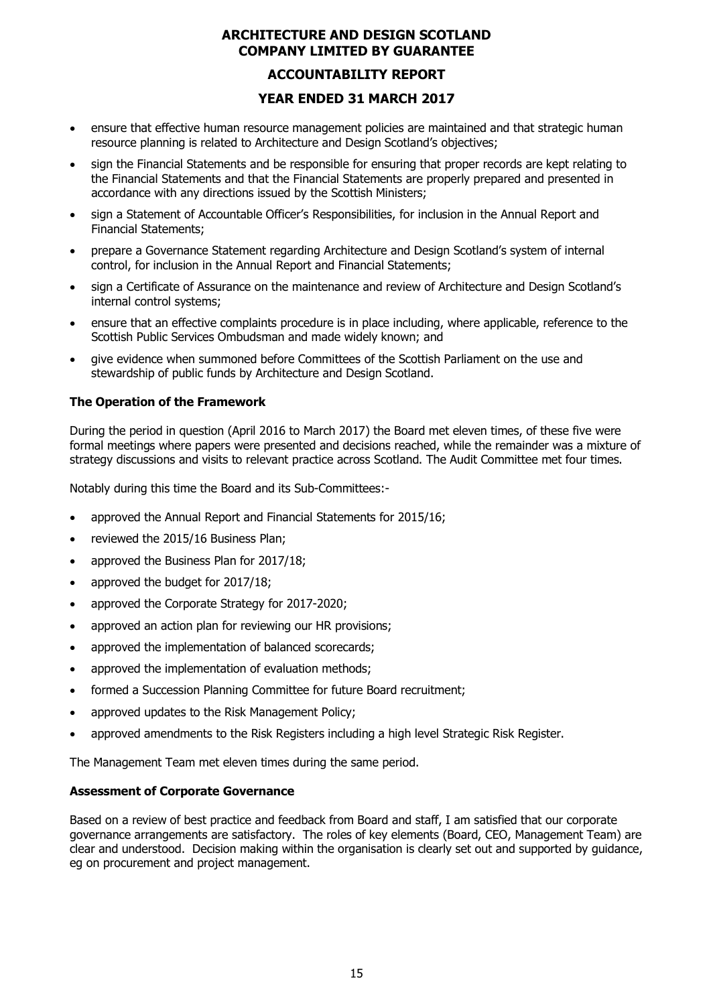### **ACCOUNTABILITY REPORT**

# **YEAR ENDED 31 MARCH 2017**

- ensure that effective human resource management policies are maintained and that strategic human resource planning is related to Architecture and Design Scotland's objectives;
- sign the Financial Statements and be responsible for ensuring that proper records are kept relating to the Financial Statements and that the Financial Statements are properly prepared and presented in accordance with any directions issued by the Scottish Ministers;
- sign a Statement of Accountable Officer's Responsibilities, for inclusion in the Annual Report and Financial Statements;
- prepare a Governance Statement regarding Architecture and Design Scotland's system of internal control, for inclusion in the Annual Report and Financial Statements;
- sign a Certificate of Assurance on the maintenance and review of Architecture and Design Scotland's internal control systems;
- ensure that an effective complaints procedure is in place including, where applicable, reference to the Scottish Public Services Ombudsman and made widely known; and
- give evidence when summoned before Committees of the Scottish Parliament on the use and stewardship of public funds by Architecture and Design Scotland.

#### **The Operation of the Framework**

During the period in question (April 2016 to March 2017) the Board met eleven times, of these five were formal meetings where papers were presented and decisions reached, while the remainder was a mixture of strategy discussions and visits to relevant practice across Scotland. The Audit Committee met four times.

Notably during this time the Board and its Sub-Committees:-

- approved the Annual Report and Financial Statements for 2015/16;
- reviewed the 2015/16 Business Plan;
- approved the Business Plan for 2017/18;
- approved the budget for 2017/18;
- approved the Corporate Strategy for 2017-2020;
- approved an action plan for reviewing our HR provisions;
- approved the implementation of balanced scorecards;
- approved the implementation of evaluation methods;
- formed a Succession Planning Committee for future Board recruitment;
- approved updates to the Risk Management Policy;
- approved amendments to the Risk Registers including a high level Strategic Risk Register.

The Management Team met eleven times during the same period.

#### **Assessment of Corporate Governance**

Based on a review of best practice and feedback from Board and staff, I am satisfied that our corporate governance arrangements are satisfactory. The roles of key elements (Board, CEO, Management Team) are clear and understood. Decision making within the organisation is clearly set out and supported by guidance, eg on procurement and project management.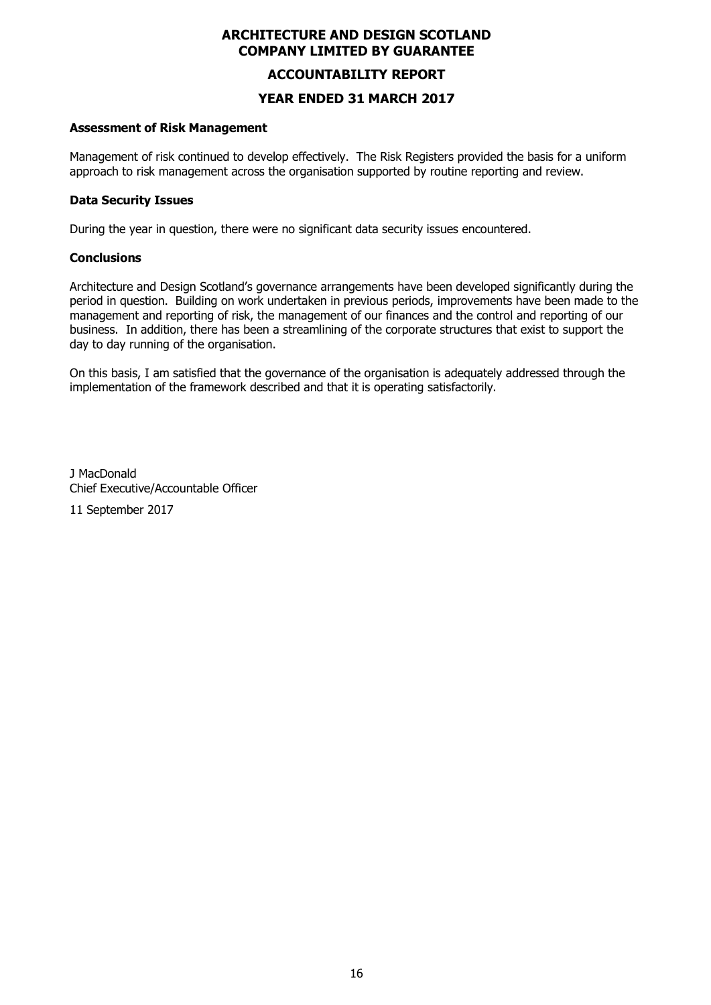#### **ACCOUNTABILITY REPORT**

### **YEAR ENDED 31 MARCH 2017**

#### **Assessment of Risk Management**

Management of risk continued to develop effectively. The Risk Registers provided the basis for a uniform approach to risk management across the organisation supported by routine reporting and review.

#### **Data Security Issues**

During the year in question, there were no significant data security issues encountered.

#### **Conclusions**

Architecture and Design Scotland's governance arrangements have been developed significantly during the period in question. Building on work undertaken in previous periods, improvements have been made to the management and reporting of risk, the management of our finances and the control and reporting of our business. In addition, there has been a streamlining of the corporate structures that exist to support the day to day running of the organisation.

On this basis, I am satisfied that the governance of the organisation is adequately addressed through the implementation of the framework described and that it is operating satisfactorily.

J MacDonald Chief Executive/Accountable Officer

11 September 2017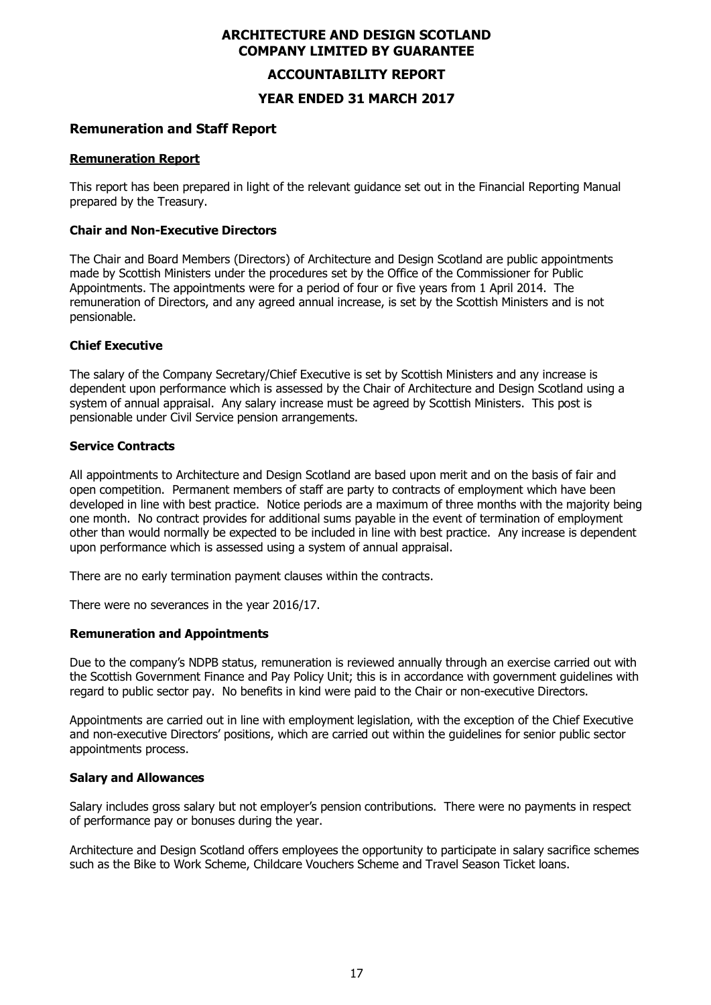#### **ACCOUNTABILITY REPORT**

**YEAR ENDED 31 MARCH 2017**

#### **Remuneration and Staff Report**

#### **Remuneration Report**

This report has been prepared in light of the relevant guidance set out in the Financial Reporting Manual prepared by the Treasury.

#### **Chair and Non-Executive Directors**

The Chair and Board Members (Directors) of Architecture and Design Scotland are public appointments made by Scottish Ministers under the procedures set by the Office of the Commissioner for Public Appointments. The appointments were for a period of four or five years from 1 April 2014. The remuneration of Directors, and any agreed annual increase, is set by the Scottish Ministers and is not pensionable.

#### **Chief Executive**

The salary of the Company Secretary/Chief Executive is set by Scottish Ministers and any increase is dependent upon performance which is assessed by the Chair of Architecture and Design Scotland using a system of annual appraisal. Any salary increase must be agreed by Scottish Ministers. This post is pensionable under Civil Service pension arrangements.

#### **Service Contracts**

All appointments to Architecture and Design Scotland are based upon merit and on the basis of fair and open competition. Permanent members of staff are party to contracts of employment which have been developed in line with best practice. Notice periods are a maximum of three months with the majority being one month. No contract provides for additional sums payable in the event of termination of employment other than would normally be expected to be included in line with best practice. Any increase is dependent upon performance which is assessed using a system of annual appraisal.

There are no early termination payment clauses within the contracts.

There were no severances in the year 2016/17.

#### **Remuneration and Appointments**

Due to the company's NDPB status, remuneration is reviewed annually through an exercise carried out with the Scottish Government Finance and Pay Policy Unit; this is in accordance with government guidelines with regard to public sector pay. No benefits in kind were paid to the Chair or non-executive Directors.

Appointments are carried out in line with employment legislation, with the exception of the Chief Executive and non-executive Directors' positions, which are carried out within the guidelines for senior public sector appointments process.

#### **Salary and Allowances**

Salary includes gross salary but not employer's pension contributions. There were no payments in respect of performance pay or bonuses during the year.

Architecture and Design Scotland offers employees the opportunity to participate in salary sacrifice schemes such as the Bike to Work Scheme, Childcare Vouchers Scheme and Travel Season Ticket loans.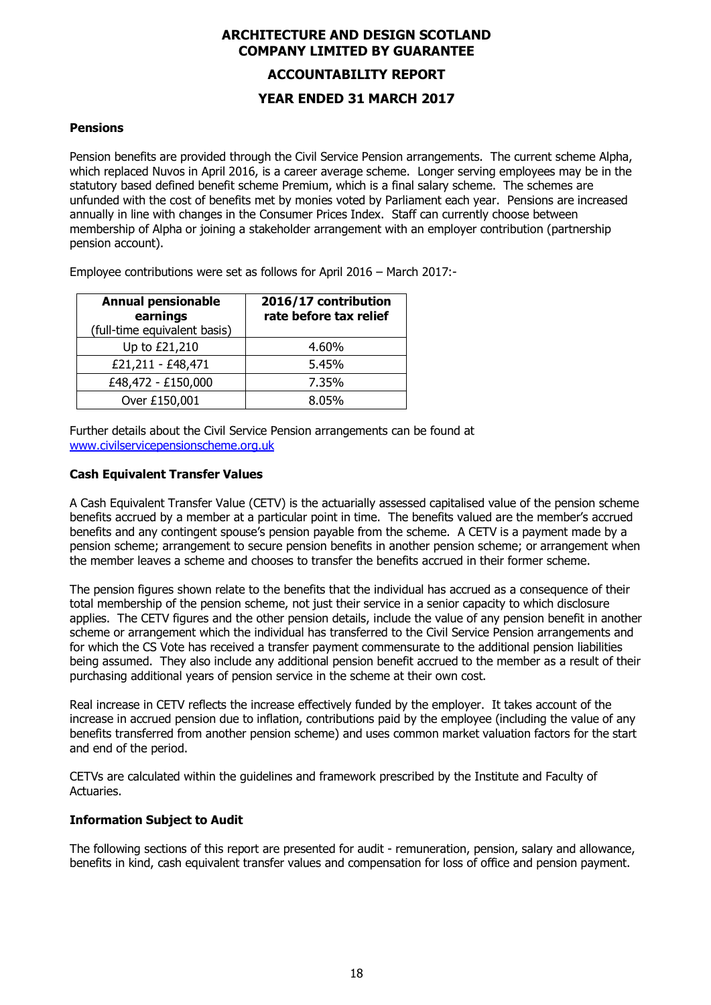# **ACCOUNTABILITY REPORT**

#### **YEAR ENDED 31 MARCH 2017**

#### **Pensions**

Pension benefits are provided through the Civil Service Pension arrangements. The current scheme Alpha, which replaced Nuvos in April 2016, is a career average scheme. Longer serving employees may be in the statutory based defined benefit scheme Premium, which is a final salary scheme. The schemes are unfunded with the cost of benefits met by monies voted by Parliament each year. Pensions are increased annually in line with changes in the Consumer Prices Index. Staff can currently choose between membership of Alpha or joining a stakeholder arrangement with an employer contribution (partnership pension account).

Employee contributions were set as follows for April 2016 – March 2017:-

| <b>Annual pensionable</b><br>earnings<br>(full-time equivalent basis) | 2016/17 contribution<br>rate before tax relief |
|-----------------------------------------------------------------------|------------------------------------------------|
| Up to £21,210                                                         | 4.60%                                          |
| £21,211 - £48,471                                                     | 5.45%                                          |
| £48,472 - £150,000                                                    | 7.35%                                          |
| Over £150,001                                                         | 8.05%                                          |

Further details about the Civil Service Pension arrangements can be found at www.civilservicepensionscheme.org.uk

#### **Cash Equivalent Transfer Values**

A Cash Equivalent Transfer Value (CETV) is the actuarially assessed capitalised value of the pension scheme benefits accrued by a member at a particular point in time. The benefits valued are the member's accrued benefits and any contingent spouse's pension payable from the scheme. A CETV is a payment made by a pension scheme; arrangement to secure pension benefits in another pension scheme; or arrangement when the member leaves a scheme and chooses to transfer the benefits accrued in their former scheme.

The pension figures shown relate to the benefits that the individual has accrued as a consequence of their total membership of the pension scheme, not just their service in a senior capacity to which disclosure applies. The CETV figures and the other pension details, include the value of any pension benefit in another scheme or arrangement which the individual has transferred to the Civil Service Pension arrangements and for which the CS Vote has received a transfer payment commensurate to the additional pension liabilities being assumed. They also include any additional pension benefit accrued to the member as a result of their purchasing additional years of pension service in the scheme at their own cost.

Real increase in CETV reflects the increase effectively funded by the employer. It takes account of the increase in accrued pension due to inflation, contributions paid by the employee (including the value of any benefits transferred from another pension scheme) and uses common market valuation factors for the start and end of the period.

CETVs are calculated within the guidelines and framework prescribed by the Institute and Faculty of Actuaries.

#### **Information Subject to Audit**

The following sections of this report are presented for audit - remuneration, pension, salary and allowance, benefits in kind, cash equivalent transfer values and compensation for loss of office and pension payment.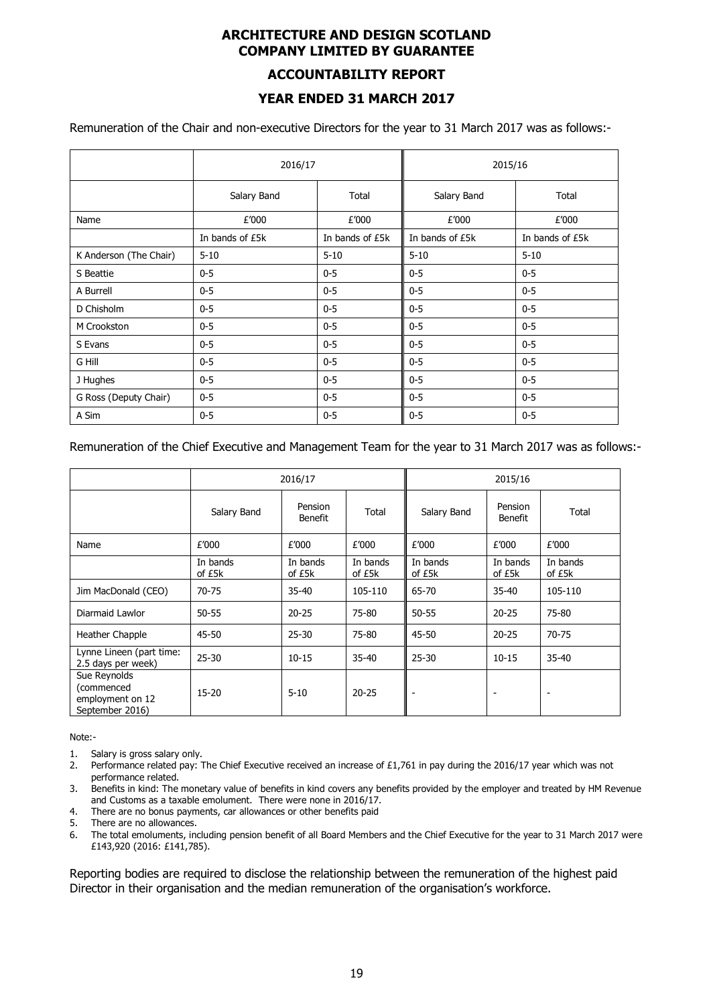#### **ACCOUNTABILITY REPORT**

# **YEAR ENDED 31 MARCH 2017**

Remuneration of the Chair and non-executive Directors for the year to 31 March 2017 was as follows:-

|                        | 2016/17              |                 | 2015/16         |                 |
|------------------------|----------------------|-----------------|-----------------|-----------------|
|                        | Salary Band<br>Total |                 | Salary Band     | Total           |
| Name                   | £'000                | £'000           | £'000           | £'000           |
|                        | In bands of £5k      | In bands of £5k | In bands of £5k | In bands of £5k |
| K Anderson (The Chair) | $5 - 10$             | $5 - 10$        | $5 - 10$        | $5 - 10$        |
| S Beattie              | $0 - 5$              | $0 - 5$         | $0 - 5$         | $0-5$           |
| A Burrell              | $0 - 5$              | $0 - 5$         | $0 - 5$         | $0-5$           |
| D Chisholm             | $0 - 5$              | $0 - 5$         | $0 - 5$         | $0 - 5$         |
| M Crookston            | $0 - 5$              | $0 - 5$         | $0 - 5$         | $0 - 5$         |
| S Evans                | $0 - 5$              | $0 - 5$         | $0 - 5$         | $0 - 5$         |
| G Hill                 | $0 - 5$              | $0 - 5$         | $0 - 5$         | $0-5$           |
| J Hughes               | $0 - 5$              | $0 - 5$         | $0 - 5$         | $0 - 5$         |
| G Ross (Deputy Chair)  | $0 - 5$              | $0 - 5$         | $0 - 5$         | $0 - 5$         |
| A Sim                  | $0 - 5$              | $0 - 5$         | $0-5$           | $0 - 5$         |

#### Remuneration of the Chief Executive and Management Team for the year to 31 March 2017 was as follows:-

|                                                                   | 2016/17            |                           |                    | 2015/16            |                           |                    |
|-------------------------------------------------------------------|--------------------|---------------------------|--------------------|--------------------|---------------------------|--------------------|
|                                                                   | Salary Band        | Pension<br><b>Benefit</b> | Total              | Salary Band        | Pension<br><b>Benefit</b> | Total              |
| Name                                                              | £'000              | £'000                     | £'000              | £'000              | £'000                     | £'000              |
|                                                                   | In bands<br>of £5k | In bands<br>of £5k        | In bands<br>of £5k | In bands<br>of £5k | In bands<br>of £5k        | In bands<br>of £5k |
| Jim MacDonald (CEO)                                               | $70 - 75$          | 35-40                     | 105-110            | 65-70              | $35 - 40$                 | 105-110            |
| Diarmaid Lawlor                                                   | $50 - 55$          | $20 - 25$                 | 75-80              | $50 - 55$          | $20 - 25$                 | 75-80              |
| Heather Chapple                                                   | 45-50              | 25-30                     | 75-80              | 45-50              | $20 - 25$                 | 70-75              |
| Lynne Lineen (part time:<br>2.5 days per week)                    | $25 - 30$          | $10 - 15$                 | 35-40              | $25 - 30$          | $10 - 15$                 | $35 - 40$          |
| Sue Reynolds<br>(commenced<br>employment on 12<br>September 2016) | 15-20              | $5 - 10$                  | $20 - 25$          |                    |                           |                    |

Note:-

- 1. Salary is gross salary only.
- 2. Performance related pay: The Chief Executive received an increase of £1,761 in pay during the 2016/17 year which was not performance related.
- 3. Benefits in kind: The monetary value of benefits in kind covers any benefits provided by the employer and treated by HM Revenue and Customs as a taxable emolument. There were none in 2016/17.
- 4. There are no bonus payments, car allowances or other benefits paid
- 5. There are no allowances.
- 6. The total emoluments, including pension benefit of all Board Members and the Chief Executive for the year to 31 March 2017 were £143,920 (2016: £141,785).

Reporting bodies are required to disclose the relationship between the remuneration of the highest paid Director in their organisation and the median remuneration of the organisation's workforce.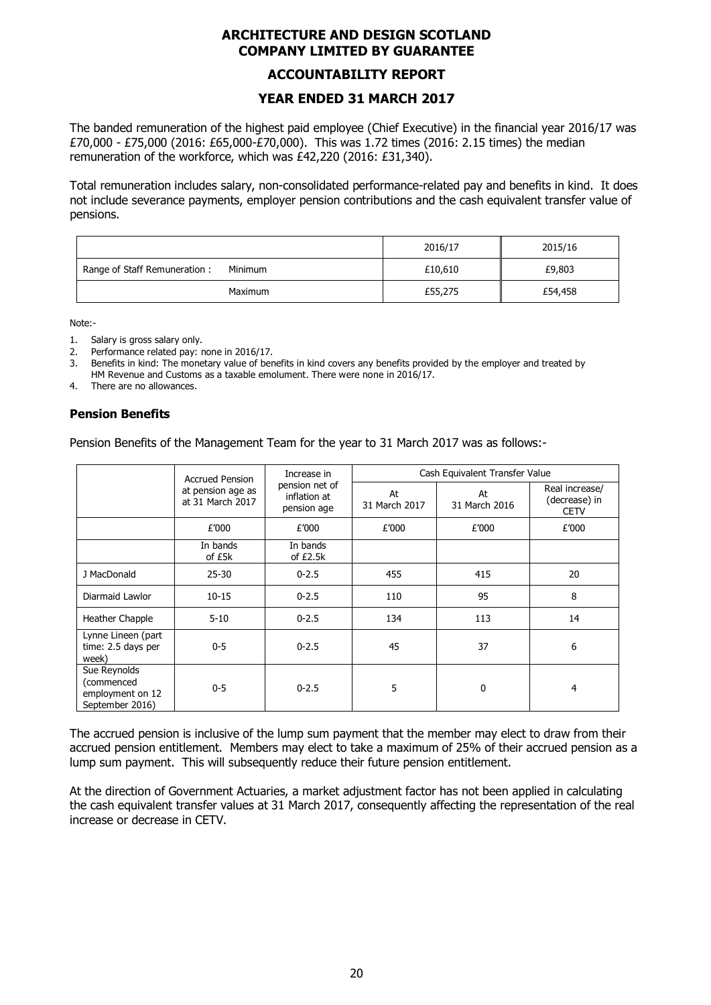#### **ACCOUNTABILITY REPORT**

# **YEAR ENDED 31 MARCH 2017**

The banded remuneration of the highest paid employee (Chief Executive) in the financial year 2016/17 was £70,000 - £75,000 (2016: £65,000-£70,000). This was 1.72 times (2016: 2.15 times) the median remuneration of the workforce, which was £42,220 (2016: £31,340).

Total remuneration includes salary, non-consolidated performance-related pay and benefits in kind. It does not include severance payments, employer pension contributions and the cash equivalent transfer value of pensions.

|                                         | 2016/17 | 2015/16 |
|-----------------------------------------|---------|---------|
| Range of Staff Remuneration:<br>Minimum | £10,610 | £9,803  |
| <b>Maximum</b>                          | £55,275 | £54,458 |

Note:-

- 1. Salary is gross salary only.
- 2. Performance related pay: none in 2016/17.
- 3. Benefits in kind: The monetary value of benefits in kind covers any benefits provided by the employer and treated by HM Revenue and Customs as a taxable emolument. There were none in 2016/17.
- 4. There are no allowances.

#### **Pension Benefits**

Pension Benefits of the Management Team for the year to 31 March 2017 was as follows:-

|                                                                   | <b>Accrued Pension</b>                | Increase in                                   |                     | Cash Equivalent Transfer Value |                                                |
|-------------------------------------------------------------------|---------------------------------------|-----------------------------------------------|---------------------|--------------------------------|------------------------------------------------|
|                                                                   | at pension age as<br>at 31 March 2017 | pension net of<br>inflation at<br>pension age | At<br>31 March 2017 | At<br>31 March 2016            | Real increase/<br>(decrease) in<br><b>CETV</b> |
|                                                                   | £'000                                 | £'000                                         | £'000               | £'000                          | £'000                                          |
|                                                                   | In bands<br>of £5k                    | In bands<br>of £2.5k                          |                     |                                |                                                |
| J MacDonald                                                       | $25 - 30$                             | $0 - 2.5$                                     | 455                 | 415                            | 20                                             |
| Diarmaid Lawlor                                                   | $10 - 15$                             | $0 - 2.5$                                     | 110                 | 95                             | 8                                              |
| Heather Chapple                                                   | $5 - 10$                              | $0 - 2.5$                                     | 134                 | 113                            | 14                                             |
| Lynne Lineen (part<br>time: 2.5 days per<br>week)                 | $0 - 5$                               | $0 - 2.5$                                     | 45                  | 37                             | 6                                              |
| Sue Reynolds<br>(commenced<br>employment on 12<br>September 2016) | $0 - 5$                               | $0 - 2.5$                                     | 5                   | 0                              | 4                                              |

The accrued pension is inclusive of the lump sum payment that the member may elect to draw from their accrued pension entitlement. Members may elect to take a maximum of 25% of their accrued pension as a lump sum payment. This will subsequently reduce their future pension entitlement.

At the direction of Government Actuaries, a market adjustment factor has not been applied in calculating the cash equivalent transfer values at 31 March 2017, consequently affecting the representation of the real increase or decrease in CETV.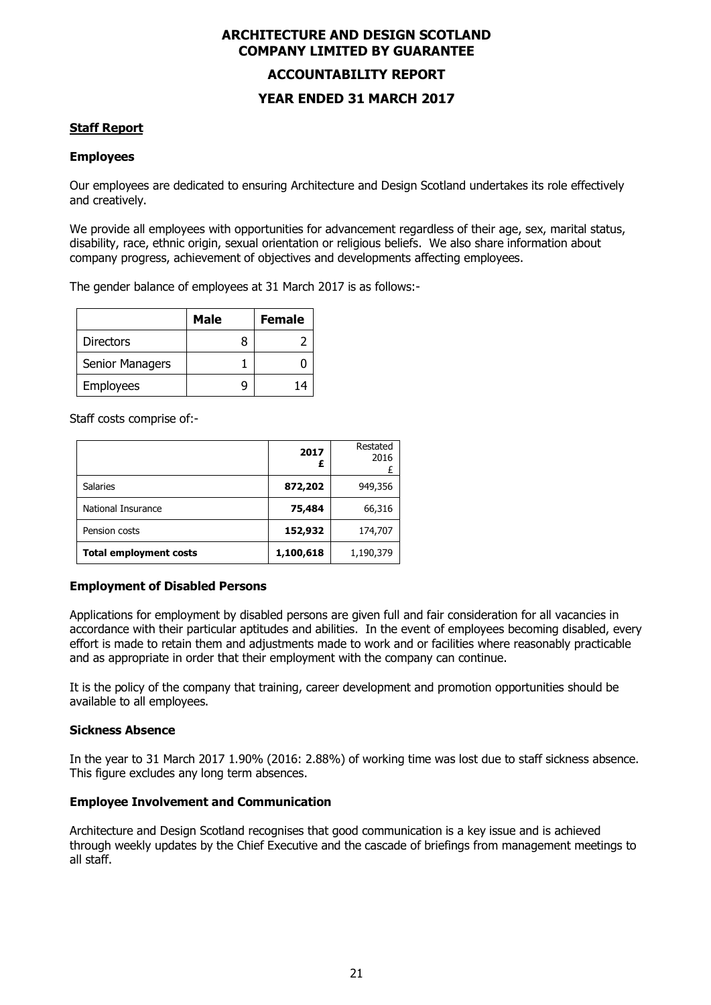# **ACCOUNTABILITY REPORT YEAR ENDED 31 MARCH 2017**

#### **Staff Report**

#### **Employees**

Our employees are dedicated to ensuring Architecture and Design Scotland undertakes its role effectively and creatively.

We provide all employees with opportunities for advancement regardless of their age, sex, marital status, disability, race, ethnic origin, sexual orientation or religious beliefs. We also share information about company progress, achievement of objectives and developments affecting employees.

The gender balance of employees at 31 March 2017 is as follows:-

|                  | Male | <b>Female</b> |
|------------------|------|---------------|
| <b>Directors</b> |      |               |
| Senior Managers  |      |               |
| <b>Employees</b> |      |               |

Staff costs comprise of:-

|                               | 2017<br>£ | Restated<br>2016 |
|-------------------------------|-----------|------------------|
| <b>Salaries</b>               | 872,202   | 949,356          |
| National Insurance            | 75,484    | 66,316           |
| Pension costs                 | 152,932   | 174,707          |
| <b>Total employment costs</b> | 1,100,618 | 1,190,379        |

#### **Employment of Disabled Persons**

Applications for employment by disabled persons are given full and fair consideration for all vacancies in accordance with their particular aptitudes and abilities. In the event of employees becoming disabled, every effort is made to retain them and adjustments made to work and or facilities where reasonably practicable and as appropriate in order that their employment with the company can continue.

It is the policy of the company that training, career development and promotion opportunities should be available to all employees.

#### **Sickness Absence**

In the year to 31 March 2017 1.90% (2016: 2.88%) of working time was lost due to staff sickness absence. This figure excludes any long term absences.

#### **Employee Involvement and Communication**

Architecture and Design Scotland recognises that good communication is a key issue and is achieved through weekly updates by the Chief Executive and the cascade of briefings from management meetings to all staff.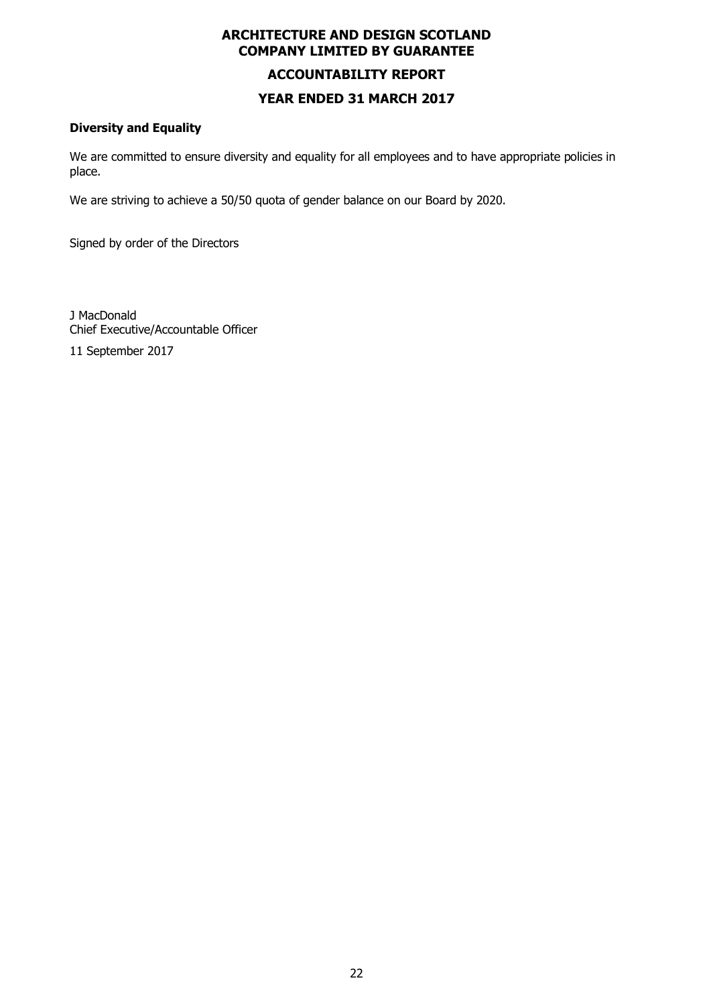# **ARCHITECTURE AND DESIGN SCOTLAND COMPANY LIMITED BY GUARANTEE ACCOUNTABILITY REPORT**

# **YEAR ENDED 31 MARCH 2017**

### **Diversity and Equality**

We are committed to ensure diversity and equality for all employees and to have appropriate policies in place.

We are striving to achieve a 50/50 quota of gender balance on our Board by 2020.

Signed by order of the Directors

J MacDonald Chief Executive/Accountable Officer

11 September 2017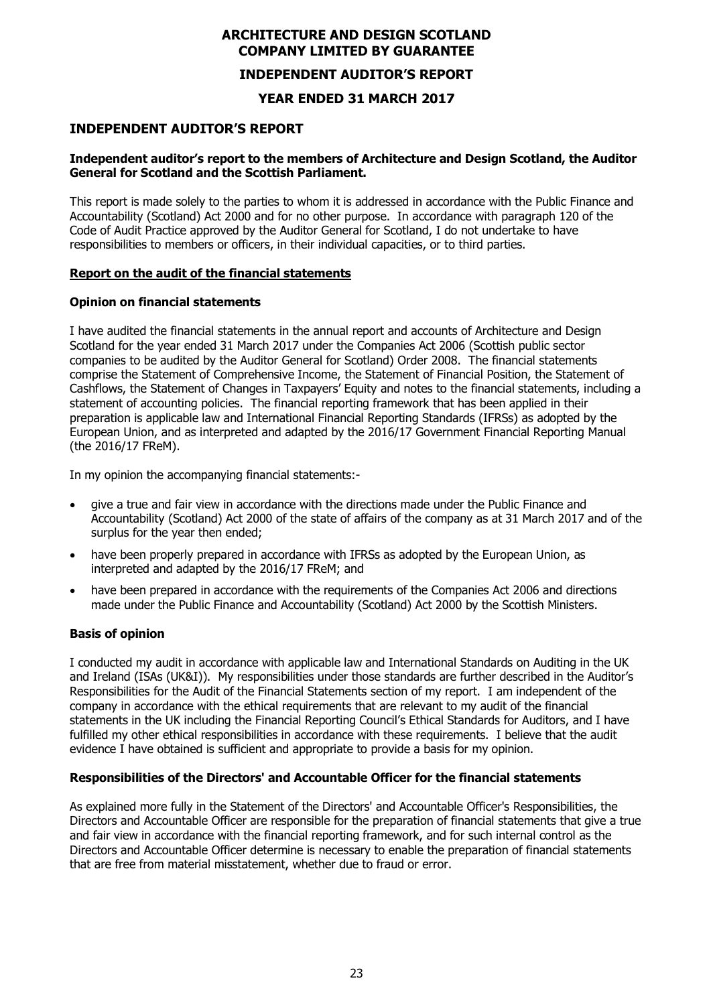#### **INDEPENDENT AUDITOR'S REPORT**

#### **YEAR ENDED 31 MARCH 2017**

#### **INDEPENDENT AUDITOR'S REPORT**

#### **Independent auditor's report to the members of Architecture and Design Scotland, the Auditor General for Scotland and the Scottish Parliament.**

This report is made solely to the parties to whom it is addressed in accordance with the Public Finance and Accountability (Scotland) Act 2000 and for no other purpose. In accordance with paragraph 120 of the Code of Audit Practice approved by the Auditor General for Scotland, I do not undertake to have responsibilities to members or officers, in their individual capacities, or to third parties.

#### **Report on the audit of the financial statements**

#### **Opinion on financial statements**

I have audited the financial statements in the annual report and accounts of Architecture and Design Scotland for the year ended 31 March 2017 under the Companies Act 2006 (Scottish public sector companies to be audited by the Auditor General for Scotland) Order 2008. The financial statements comprise the Statement of Comprehensive Income, the Statement of Financial Position, the Statement of Cashflows, the Statement of Changes in Taxpayers' Equity and notes to the financial statements, including a statement of accounting policies. The financial reporting framework that has been applied in their preparation is applicable law and International Financial Reporting Standards (IFRSs) as adopted by the European Union, and as interpreted and adapted by the 2016/17 Government Financial Reporting Manual (the 2016/17 FReM).

In my opinion the accompanying financial statements:-

- give a true and fair view in accordance with the directions made under the Public Finance and Accountability (Scotland) Act 2000 of the state of affairs of the company as at 31 March 2017 and of the surplus for the year then ended;
- have been properly prepared in accordance with IFRSs as adopted by the European Union, as interpreted and adapted by the 2016/17 FReM; and
- have been prepared in accordance with the requirements of the Companies Act 2006 and directions made under the Public Finance and Accountability (Scotland) Act 2000 by the Scottish Ministers.

#### **Basis of opinion**

I conducted my audit in accordance with applicable law and International Standards on Auditing in the UK and Ireland (ISAs (UK&I)). My responsibilities under those standards are further described in the Auditor's Responsibilities for the Audit of the Financial Statements section of my report. I am independent of the company in accordance with the ethical requirements that are relevant to my audit of the financial statements in the UK including the Financial Reporting Council's Ethical Standards for Auditors, and I have fulfilled my other ethical responsibilities in accordance with these requirements. I believe that the audit evidence I have obtained is sufficient and appropriate to provide a basis for my opinion.

#### **Responsibilities of the Directors' and Accountable Officer for the financial statements**

As explained more fully in the Statement of the Directors' and Accountable Officer's Responsibilities, the Directors and Accountable Officer are responsible for the preparation of financial statements that give a true and fair view in accordance with the financial reporting framework, and for such internal control as the Directors and Accountable Officer determine is necessary to enable the preparation of financial statements that are free from material misstatement, whether due to fraud or error.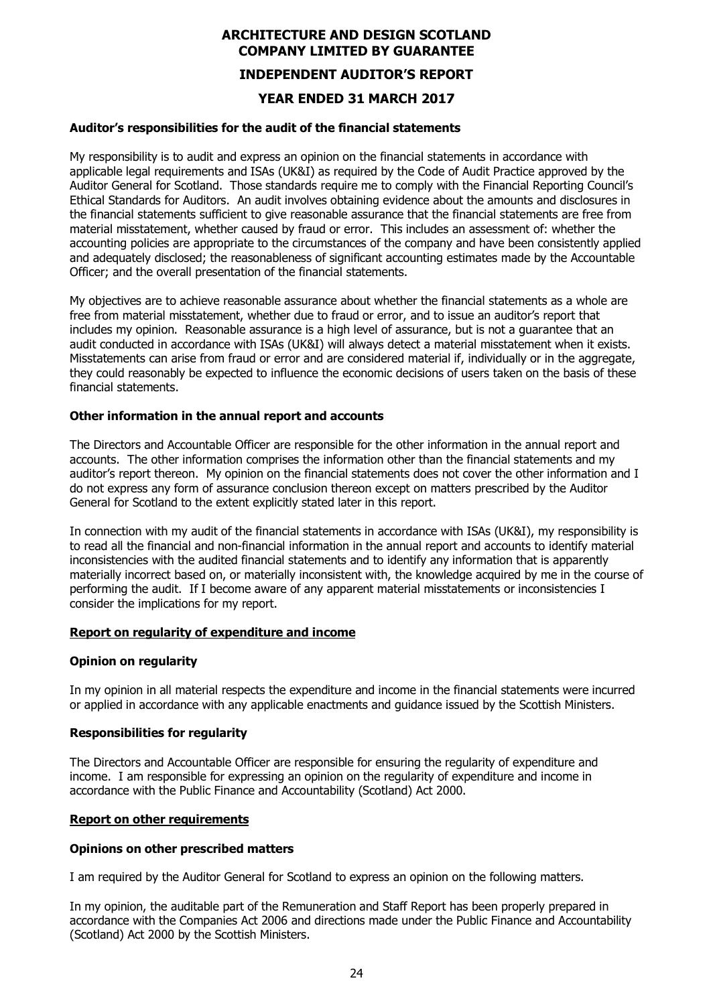# **ARCHITECTURE AND DESIGN SCOTLAND COMPANY LIMITED BY GUARANTEE INDEPENDENT AUDITOR'S REPORT YEAR ENDED 31 MARCH 2017**

#### **Auditor's responsibilities for the audit of the financial statements**

My responsibility is to audit and express an opinion on the financial statements in accordance with applicable legal requirements and ISAs (UK&I) as required by the Code of Audit Practice approved by the Auditor General for Scotland. Those standards require me to comply with the Financial Reporting Council's Ethical Standards for Auditors. An audit involves obtaining evidence about the amounts and disclosures in the financial statements sufficient to give reasonable assurance that the financial statements are free from material misstatement, whether caused by fraud or error. This includes an assessment of: whether the accounting policies are appropriate to the circumstances of the company and have been consistently applied and adequately disclosed; the reasonableness of significant accounting estimates made by the Accountable Officer; and the overall presentation of the financial statements.

My objectives are to achieve reasonable assurance about whether the financial statements as a whole are free from material misstatement, whether due to fraud or error, and to issue an auditor's report that includes my opinion. Reasonable assurance is a high level of assurance, but is not a guarantee that an audit conducted in accordance with ISAs (UK&I) will always detect a material misstatement when it exists. Misstatements can arise from fraud or error and are considered material if, individually or in the aggregate, they could reasonably be expected to influence the economic decisions of users taken on the basis of these financial statements.

#### **Other information in the annual report and accounts**

The Directors and Accountable Officer are responsible for the other information in the annual report and accounts. The other information comprises the information other than the financial statements and my auditor's report thereon. My opinion on the financial statements does not cover the other information and I do not express any form of assurance conclusion thereon except on matters prescribed by the Auditor General for Scotland to the extent explicitly stated later in this report.

In connection with my audit of the financial statements in accordance with ISAs (UK&I), my responsibility is to read all the financial and non-financial information in the annual report and accounts to identify material inconsistencies with the audited financial statements and to identify any information that is apparently materially incorrect based on, or materially inconsistent with, the knowledge acquired by me in the course of performing the audit. If I become aware of any apparent material misstatements or inconsistencies I consider the implications for my report.

#### **Report on regularity of expenditure and income**

#### **Opinion on regularity**

In my opinion in all material respects the expenditure and income in the financial statements were incurred or applied in accordance with any applicable enactments and guidance issued by the Scottish Ministers.

#### **Responsibilities for regularity**

The Directors and Accountable Officer are responsible for ensuring the regularity of expenditure and income. I am responsible for expressing an opinion on the regularity of expenditure and income in accordance with the Public Finance and Accountability (Scotland) Act 2000.

#### **Report on other requirements**

#### **Opinions on other prescribed matters**

I am required by the Auditor General for Scotland to express an opinion on the following matters.

In my opinion, the auditable part of the Remuneration and Staff Report has been properly prepared in accordance with the Companies Act 2006 and directions made under the Public Finance and Accountability (Scotland) Act 2000 by the Scottish Ministers.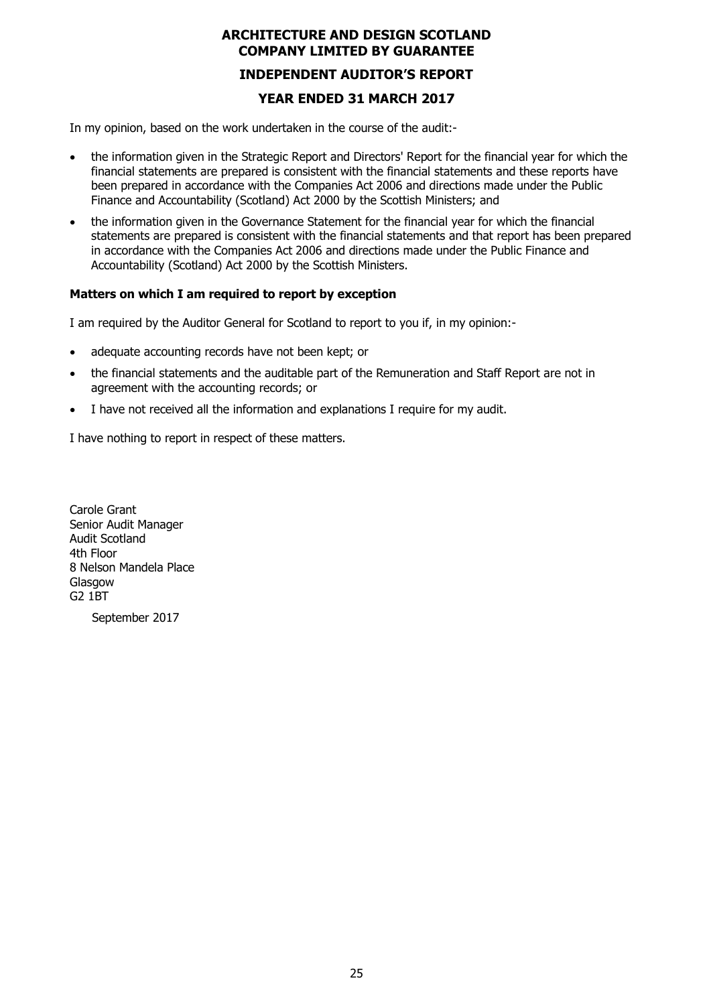# **ARCHITECTURE AND DESIGN SCOTLAND COMPANY LIMITED BY GUARANTEE INDEPENDENT AUDITOR'S REPORT YEAR ENDED 31 MARCH 2017**

In my opinion, based on the work undertaken in the course of the audit:-

- the information given in the Strategic Report and Directors' Report for the financial year for which the financial statements are prepared is consistent with the financial statements and these reports have been prepared in accordance with the Companies Act 2006 and directions made under the Public Finance and Accountability (Scotland) Act 2000 by the Scottish Ministers; and
- the information given in the Governance Statement for the financial year for which the financial statements are prepared is consistent with the financial statements and that report has been prepared in accordance with the Companies Act 2006 and directions made under the Public Finance and Accountability (Scotland) Act 2000 by the Scottish Ministers.

#### **Matters on which I am required to report by exception**

I am required by the Auditor General for Scotland to report to you if, in my opinion:-

- adequate accounting records have not been kept; or
- the financial statements and the auditable part of the Remuneration and Staff Report are not in agreement with the accounting records; or
- I have not received all the information and explanations I require for my audit.

I have nothing to report in respect of these matters.

Carole Grant Senior Audit Manager Audit Scotland 4th Floor 8 Nelson Mandela Place **Glasgow** G2 1BT

September 2017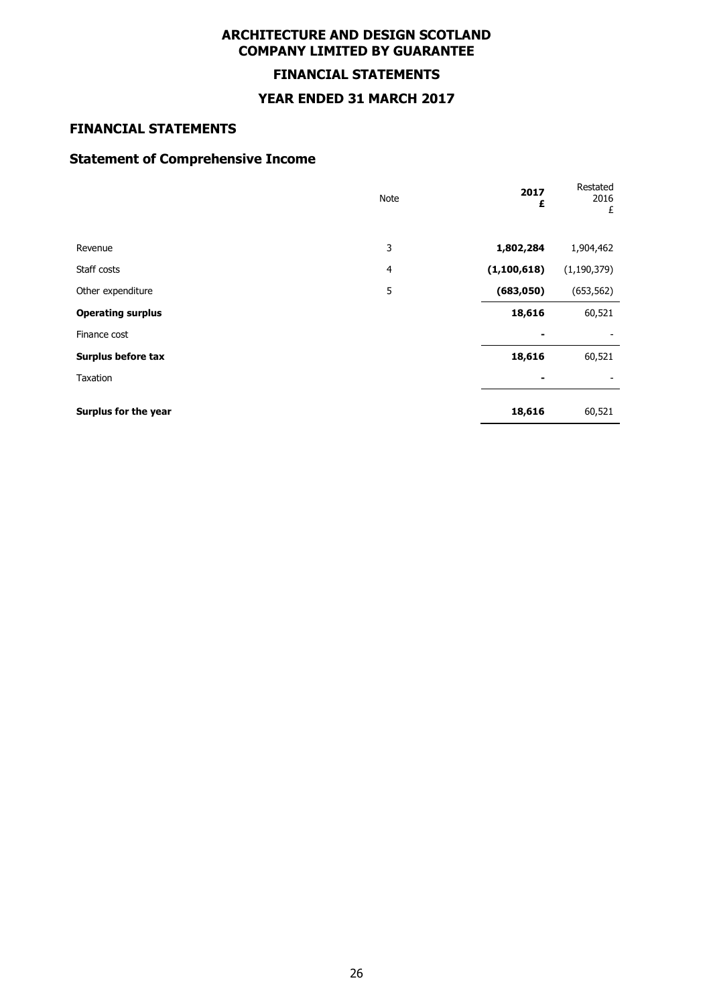# **FINANCIAL STATEMENTS**

#### **YEAR ENDED 31 MARCH 2017**

# **FINANCIAL STATEMENTS**

# **Statement of Comprehensive Income**

|                          | Note           | 2017<br>£     | Restated<br>2016<br>£ |
|--------------------------|----------------|---------------|-----------------------|
| Revenue                  | 3              | 1,802,284     | 1,904,462             |
| Staff costs              | $\overline{4}$ | (1, 100, 618) | (1, 190, 379)         |
| Other expenditure        | 5              | (683, 050)    | (653, 562)            |
| <b>Operating surplus</b> |                | 18,616        | 60,521                |
| Finance cost             |                |               |                       |
| Surplus before tax       |                | 18,616        | 60,521                |
| Taxation                 |                |               |                       |
| Surplus for the year     |                | 18,616        | 60,521                |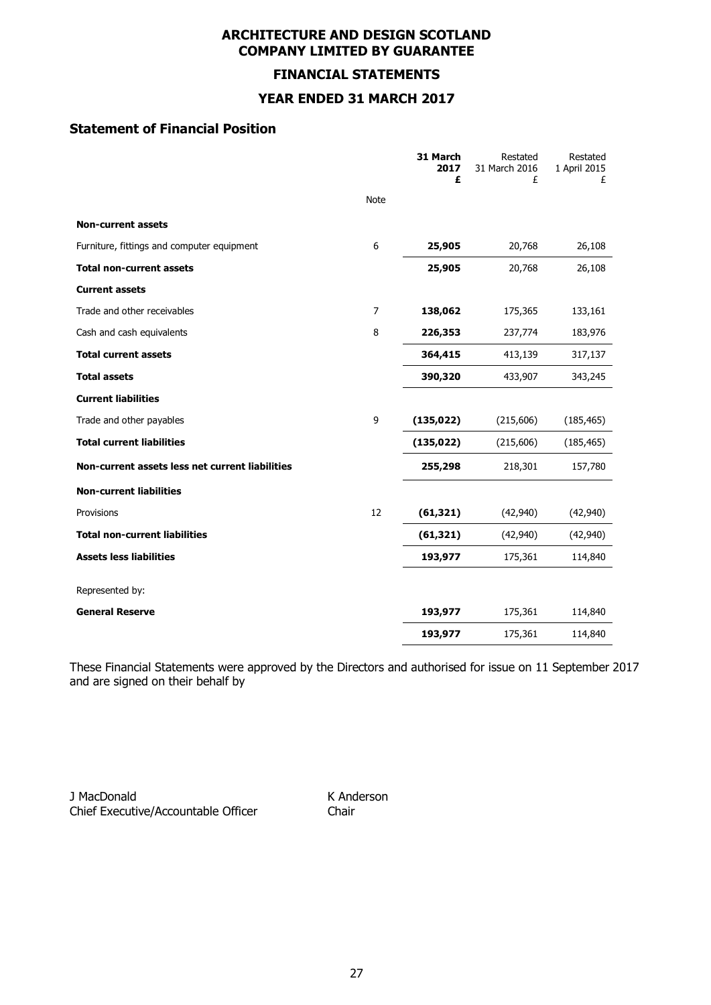# **FINANCIAL STATEMENTS**

# **YEAR ENDED 31 MARCH 2017**

# **Statement of Financial Position**

|                                                 |                | 31 March<br>2017<br>£ | Restated<br>31 March 2016<br>£ | Restated<br>1 April 2015<br>£ |
|-------------------------------------------------|----------------|-----------------------|--------------------------------|-------------------------------|
|                                                 | <b>Note</b>    |                       |                                |                               |
| <b>Non-current assets</b>                       |                |                       |                                |                               |
| Furniture, fittings and computer equipment      | 6              | 25,905                | 20,768                         | 26,108                        |
| <b>Total non-current assets</b>                 |                | 25,905                | 20,768                         | 26,108                        |
| <b>Current assets</b>                           |                |                       |                                |                               |
| Trade and other receivables                     | $\overline{7}$ | 138,062               | 175,365                        | 133,161                       |
| Cash and cash equivalents                       | 8              | 226,353               | 237,774                        | 183,976                       |
| <b>Total current assets</b>                     |                | 364,415               | 413,139                        | 317,137                       |
| <b>Total assets</b>                             |                | 390,320               | 433,907                        | 343,245                       |
| <b>Current liabilities</b>                      |                |                       |                                |                               |
| Trade and other payables                        | 9              | (135, 022)            | (215,606)                      | (185, 465)                    |
| <b>Total current liabilities</b>                |                | (135, 022)            | (215,606)                      | (185, 465)                    |
| Non-current assets less net current liabilities |                | 255,298               | 218,301                        | 157,780                       |
| <b>Non-current liabilities</b>                  |                |                       |                                |                               |
| Provisions                                      | 12             | (61, 321)             | (42, 940)                      | (42, 940)                     |
| <b>Total non-current liabilities</b>            |                | (61, 321)             | (42, 940)                      | (42, 940)                     |
| <b>Assets less liabilities</b>                  |                | 193,977               | 175,361                        | 114,840                       |
| Represented by:                                 |                |                       |                                |                               |
| <b>General Reserve</b>                          |                | 193,977               | 175,361                        | 114,840                       |
|                                                 |                | 193,977               | 175,361                        | 114,840                       |

These Financial Statements were approved by the Directors and authorised for issue on 11 September 2017 and are signed on their behalf by

J MacDonald K Anderson Chief Executive/Accountable Officer Chair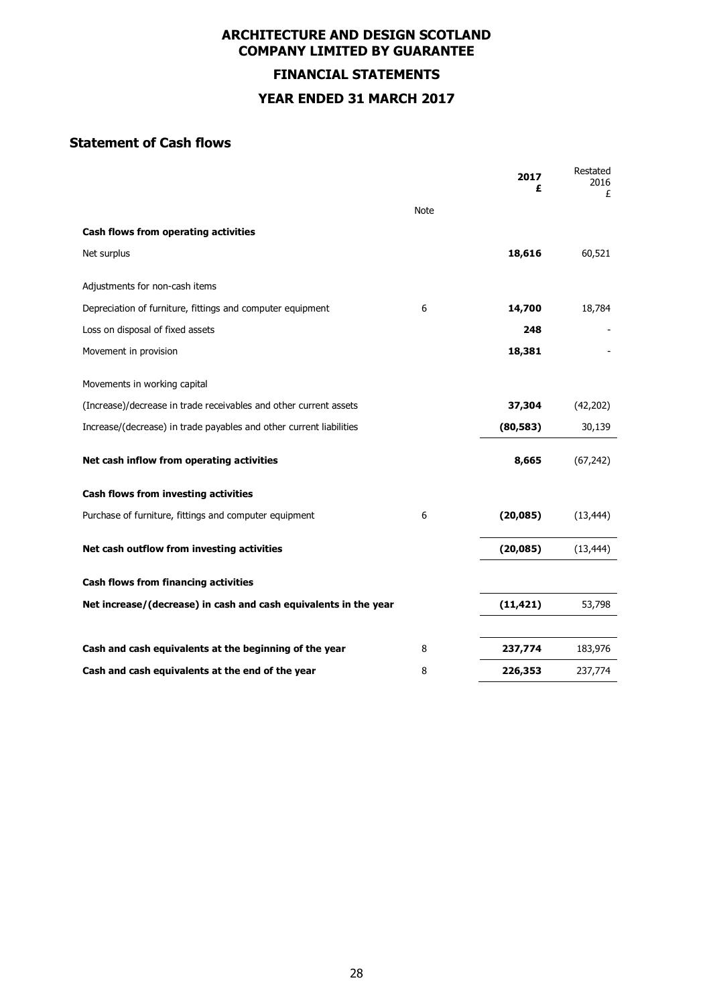**FINANCIAL STATEMENTS YEAR ENDED 31 MARCH 2017**

# **Statement of Cash flows**

|                                                                     |             | 2017<br>£ | Restated<br>2016<br>£ |
|---------------------------------------------------------------------|-------------|-----------|-----------------------|
|                                                                     | <b>Note</b> |           |                       |
| Cash flows from operating activities                                |             |           |                       |
| Net surplus                                                         |             | 18,616    | 60,521                |
| Adjustments for non-cash items                                      |             |           |                       |
| Depreciation of furniture, fittings and computer equipment          | 6           | 14,700    | 18,784                |
| Loss on disposal of fixed assets                                    |             | 248       |                       |
| Movement in provision                                               |             | 18,381    |                       |
| Movements in working capital                                        |             |           |                       |
| (Increase)/decrease in trade receivables and other current assets   |             | 37,304    | (42, 202)             |
| Increase/(decrease) in trade payables and other current liabilities |             | (80, 583) | 30,139                |
| Net cash inflow from operating activities                           |             | 8,665     | (67, 242)             |
| Cash flows from investing activities                                |             |           |                       |
| Purchase of furniture, fittings and computer equipment              | 6           | (20,085)  | (13, 444)             |
| Net cash outflow from investing activities                          |             | (20, 085) | (13, 444)             |
| Cash flows from financing activities                                |             |           |                       |
| Net increase/(decrease) in cash and cash equivalents in the year    |             | (11, 421) | 53,798                |
| Cash and cash equivalents at the beginning of the year              | 8           | 237,774   | 183,976               |
| Cash and cash equivalents at the end of the year                    | 8           | 226,353   | 237,774               |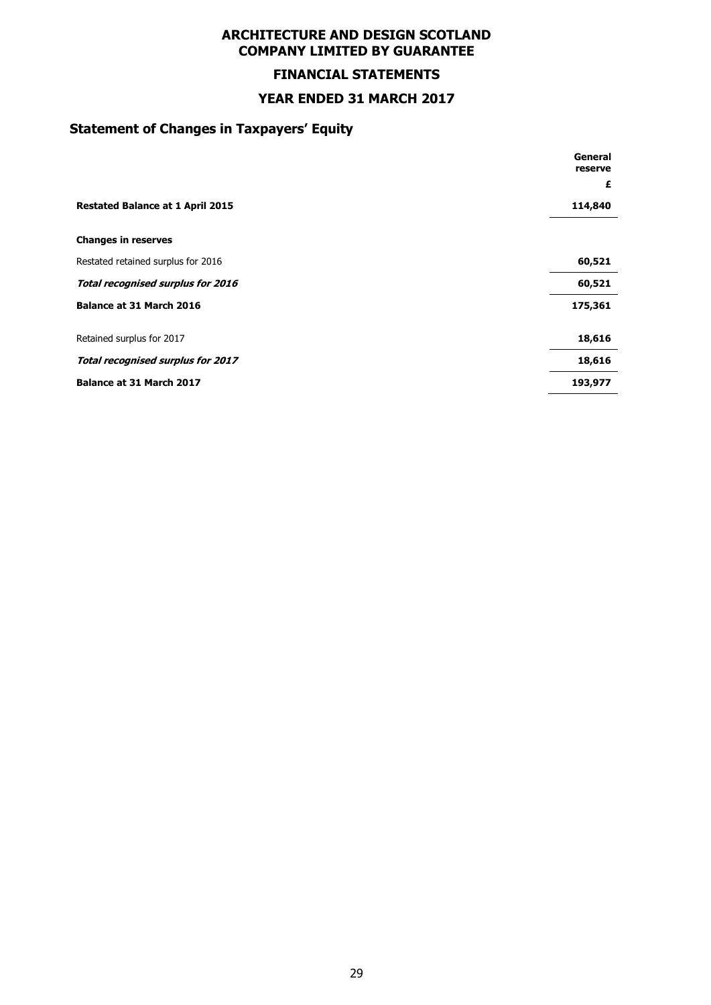# **FINANCIAL STATEMENTS**

#### **YEAR ENDED 31 MARCH 2017**

# **Statement of Changes in Taxpayers' Equity**

|                                         | General<br>reserve |
|-----------------------------------------|--------------------|
|                                         | £                  |
| <b>Restated Balance at 1 April 2015</b> | 114,840            |
| <b>Changes in reserves</b>              |                    |
| Restated retained surplus for 2016      | 60,521             |
| Total recognised surplus for 2016       | 60,521             |
| Balance at 31 March 2016                | 175,361            |
| Retained surplus for 2017               | 18,616             |
| Total recognised surplus for 2017       | 18,616             |
| Balance at 31 March 2017                | 193,977            |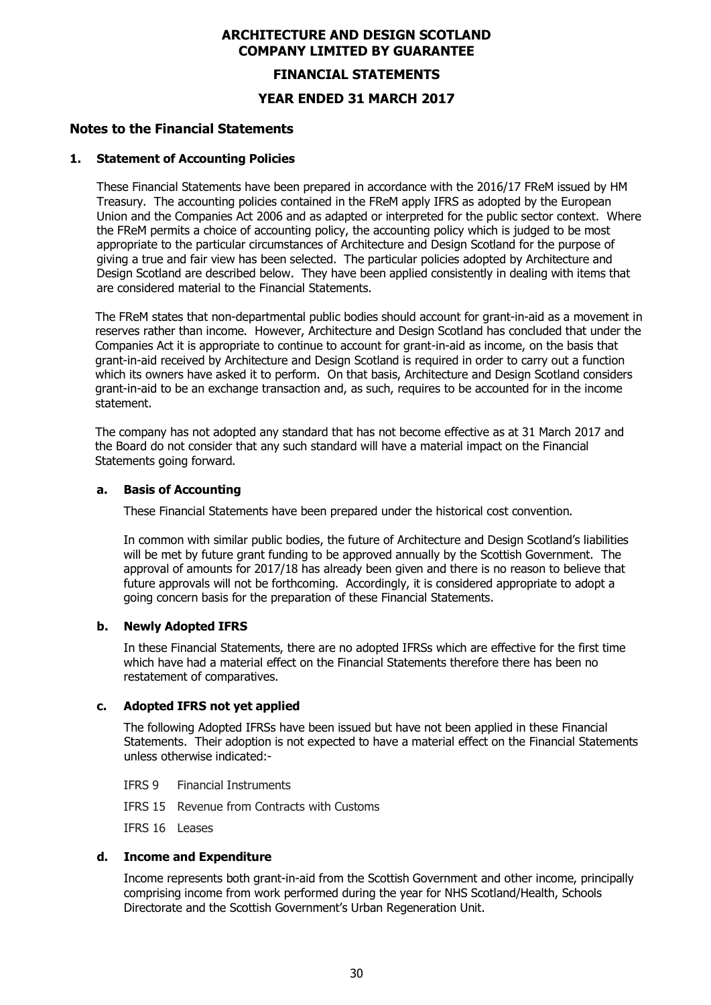#### **FINANCIAL STATEMENTS**

**YEAR ENDED 31 MARCH 2017**

#### **Notes to the Financial Statements**

#### **1. Statement of Accounting Policies**

These Financial Statements have been prepared in accordance with the 2016/17 FReM issued by HM Treasury. The accounting policies contained in the FReM apply IFRS as adopted by the European Union and the Companies Act 2006 and as adapted or interpreted for the public sector context. Where the FReM permits a choice of accounting policy, the accounting policy which is judged to be most appropriate to the particular circumstances of Architecture and Design Scotland for the purpose of giving a true and fair view has been selected. The particular policies adopted by Architecture and Design Scotland are described below. They have been applied consistently in dealing with items that are considered material to the Financial Statements.

The FReM states that non-departmental public bodies should account for grant-in-aid as a movement in reserves rather than income. However, Architecture and Design Scotland has concluded that under the Companies Act it is appropriate to continue to account for grant-in-aid as income, on the basis that grant-in-aid received by Architecture and Design Scotland is required in order to carry out a function which its owners have asked it to perform. On that basis, Architecture and Design Scotland considers grant-in-aid to be an exchange transaction and, as such, requires to be accounted for in the income statement.

The company has not adopted any standard that has not become effective as at 31 March 2017 and the Board do not consider that any such standard will have a material impact on the Financial Statements going forward.

#### **a. Basis of Accounting**

These Financial Statements have been prepared under the historical cost convention.

In common with similar public bodies, the future of Architecture and Design Scotland's liabilities will be met by future grant funding to be approved annually by the Scottish Government. The approval of amounts for 2017/18 has already been given and there is no reason to believe that future approvals will not be forthcoming. Accordingly, it is considered appropriate to adopt a going concern basis for the preparation of these Financial Statements.

#### **b. Newly Adopted IFRS**

In these Financial Statements, there are no adopted IFRSs which are effective for the first time which have had a material effect on the Financial Statements therefore there has been no restatement of comparatives.

#### **c. Adopted IFRS not yet applied**

The following Adopted IFRSs have been issued but have not been applied in these Financial Statements. Their adoption is not expected to have a material effect on the Financial Statements unless otherwise indicated:-

- IFRS 9 Financial Instruments
- IFRS 15 Revenue from Contracts with Customs

IFRS 16 Leases

#### **d. Income and Expenditure**

Income represents both grant-in-aid from the Scottish Government and other income, principally comprising income from work performed during the year for NHS Scotland/Health, Schools Directorate and the Scottish Government's Urban Regeneration Unit.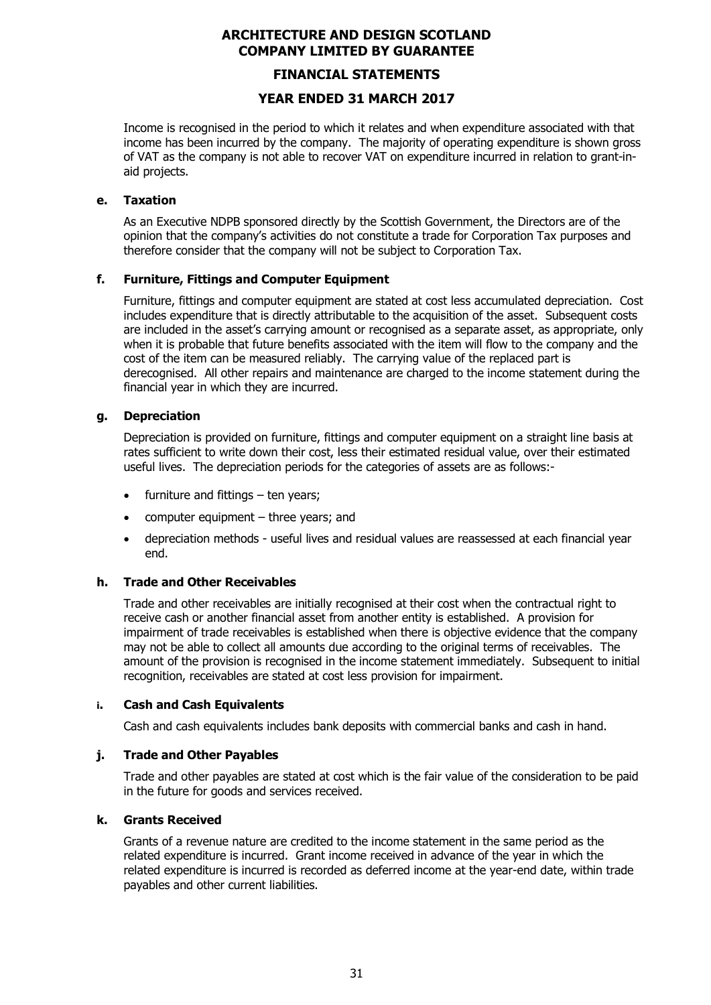### **FINANCIAL STATEMENTS**

## **YEAR ENDED 31 MARCH 2017**

Income is recognised in the period to which it relates and when expenditure associated with that income has been incurred by the company. The majority of operating expenditure is shown gross of VAT as the company is not able to recover VAT on expenditure incurred in relation to grant-inaid projects.

#### **e. Taxation**

As an Executive NDPB sponsored directly by the Scottish Government, the Directors are of the opinion that the company's activities do not constitute a trade for Corporation Tax purposes and therefore consider that the company will not be subject to Corporation Tax.

#### **f. Furniture, Fittings and Computer Equipment**

Furniture, fittings and computer equipment are stated at cost less accumulated depreciation. Cost includes expenditure that is directly attributable to the acquisition of the asset. Subsequent costs are included in the asset's carrying amount or recognised as a separate asset, as appropriate, only when it is probable that future benefits associated with the item will flow to the company and the cost of the item can be measured reliably. The carrying value of the replaced part is derecognised. All other repairs and maintenance are charged to the income statement during the financial year in which they are incurred.

#### **g. Depreciation**

Depreciation is provided on furniture, fittings and computer equipment on a straight line basis at rates sufficient to write down their cost, less their estimated residual value, over their estimated useful lives. The depreciation periods for the categories of assets are as follows:-

- furniture and fittings ten years:
- computer equipment three years; and
- depreciation methods useful lives and residual values are reassessed at each financial year end.

#### **h. Trade and Other Receivables**

Trade and other receivables are initially recognised at their cost when the contractual right to receive cash or another financial asset from another entity is established. A provision for impairment of trade receivables is established when there is objective evidence that the company may not be able to collect all amounts due according to the original terms of receivables. The amount of the provision is recognised in the income statement immediately. Subsequent to initial recognition, receivables are stated at cost less provision for impairment.

#### **i. Cash and Cash Equivalents**

Cash and cash equivalents includes bank deposits with commercial banks and cash in hand.

#### **j. Trade and Other Payables**

Trade and other payables are stated at cost which is the fair value of the consideration to be paid in the future for goods and services received.

#### **k. Grants Received**

Grants of a revenue nature are credited to the income statement in the same period as the related expenditure is incurred. Grant income received in advance of the year in which the related expenditure is incurred is recorded as deferred income at the year-end date, within trade payables and other current liabilities.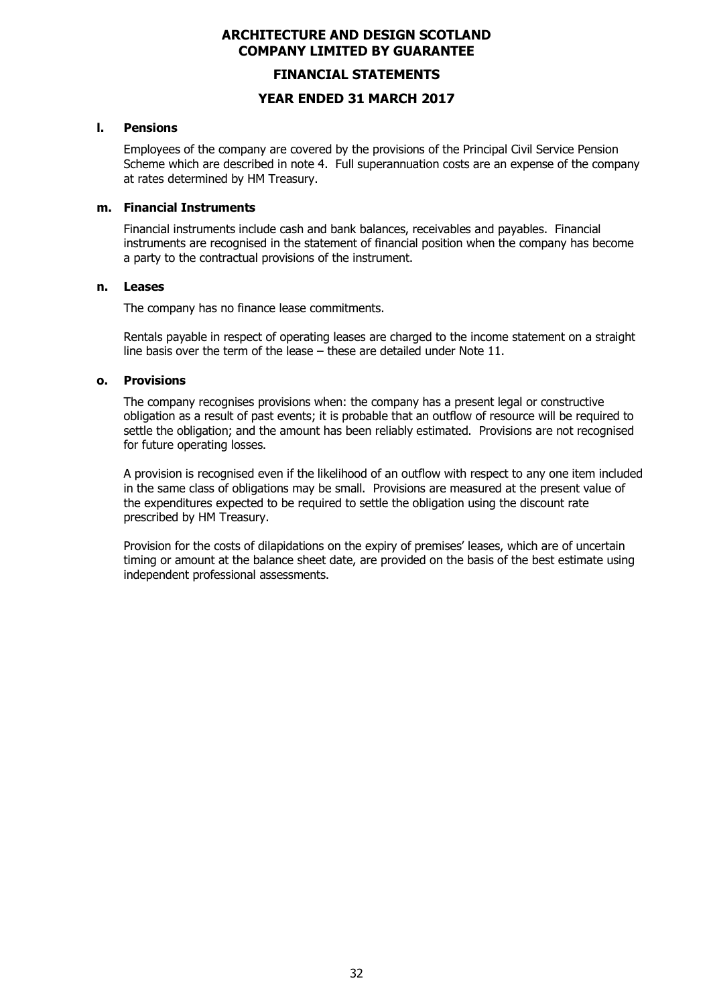#### **FINANCIAL STATEMENTS**

#### **YEAR ENDED 31 MARCH 2017**

#### **l. Pensions**

Employees of the company are covered by the provisions of the Principal Civil Service Pension Scheme which are described in note 4. Full superannuation costs are an expense of the company at rates determined by HM Treasury.

#### **m. Financial Instruments**

Financial instruments include cash and bank balances, receivables and payables. Financial instruments are recognised in the statement of financial position when the company has become a party to the contractual provisions of the instrument.

#### **n. Leases**

The company has no finance lease commitments.

Rentals payable in respect of operating leases are charged to the income statement on a straight line basis over the term of the lease – these are detailed under Note 11.

#### **o. Provisions**

The company recognises provisions when: the company has a present legal or constructive obligation as a result of past events; it is probable that an outflow of resource will be required to settle the obligation; and the amount has been reliably estimated. Provisions are not recognised for future operating losses.

A provision is recognised even if the likelihood of an outflow with respect to any one item included in the same class of obligations may be small. Provisions are measured at the present value of the expenditures expected to be required to settle the obligation using the discount rate prescribed by HM Treasury.

Provision for the costs of dilapidations on the expiry of premises' leases, which are of uncertain timing or amount at the balance sheet date, are provided on the basis of the best estimate using independent professional assessments.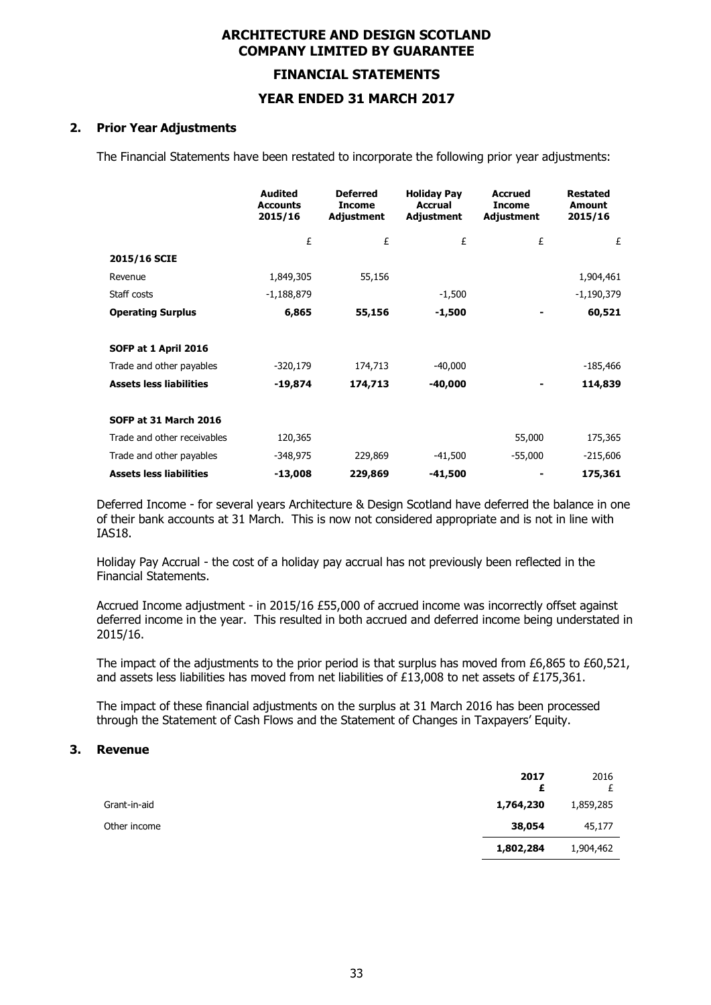#### **FINANCIAL STATEMENTS**

### **YEAR ENDED 31 MARCH 2017**

#### **2. Prior Year Adjustments**

The Financial Statements have been restated to incorporate the following prior year adjustments:

|                                | <b>Audited</b><br>Accounts<br>2015/16 | <b>Deferred</b><br><b>Income</b><br>Adjustment | <b>Holiday Pay</b><br><b>Accrual</b><br>Adjustment | <b>Accrued</b><br><b>Income</b><br>Adjustment | <b>Restated</b><br>Amount<br>2015/16 |
|--------------------------------|---------------------------------------|------------------------------------------------|----------------------------------------------------|-----------------------------------------------|--------------------------------------|
|                                | £                                     | £                                              | £                                                  | £                                             | £                                    |
| 2015/16 SCIE                   |                                       |                                                |                                                    |                                               |                                      |
| Revenue                        | 1,849,305                             | 55,156                                         |                                                    |                                               | 1,904,461                            |
| Staff costs                    | $-1,188,879$                          |                                                | $-1,500$                                           |                                               | $-1,190,379$                         |
| <b>Operating Surplus</b>       | 6,865                                 | 55,156                                         | $-1,500$                                           |                                               | 60,521                               |
| SOFP at 1 April 2016           |                                       |                                                |                                                    |                                               |                                      |
| Trade and other payables       | $-320,179$                            | 174,713                                        | $-40,000$                                          |                                               | -185,466                             |
| <b>Assets less liabilities</b> | $-19,874$                             | 174,713                                        | $-40,000$                                          |                                               | 114,839                              |
| SOFP at 31 March 2016          |                                       |                                                |                                                    |                                               |                                      |
| Trade and other receivables    | 120,365                               |                                                |                                                    | 55,000                                        | 175,365                              |
| Trade and other payables       | -348,975                              | 229,869                                        | -41,500                                            | $-55,000$                                     | $-215,606$                           |
| <b>Assets less liabilities</b> | $-13,008$                             | 229,869                                        | $-41,500$                                          |                                               | 175,361                              |

Deferred Income - for several years Architecture & Design Scotland have deferred the balance in one of their bank accounts at 31 March. This is now not considered appropriate and is not in line with IAS18.

Holiday Pay Accrual - the cost of a holiday pay accrual has not previously been reflected in the Financial Statements.

Accrued Income adjustment - in 2015/16 £55,000 of accrued income was incorrectly offset against deferred income in the year. This resulted in both accrued and deferred income being understated in 2015/16.

The impact of the adjustments to the prior period is that surplus has moved from £6,865 to £60,521, and assets less liabilities has moved from net liabilities of £13,008 to net assets of £175,361.

The impact of these financial adjustments on the surplus at 31 March 2016 has been processed through the Statement of Cash Flows and the Statement of Changes in Taxpayers' Equity.

#### **3. Revenue**

|              | 2017<br>£ | 2016<br>£ |
|--------------|-----------|-----------|
| Grant-in-aid | 1,764,230 | 1,859,285 |
| Other income | 38,054    | 45,177    |
|              | 1,802,284 | 1,904,462 |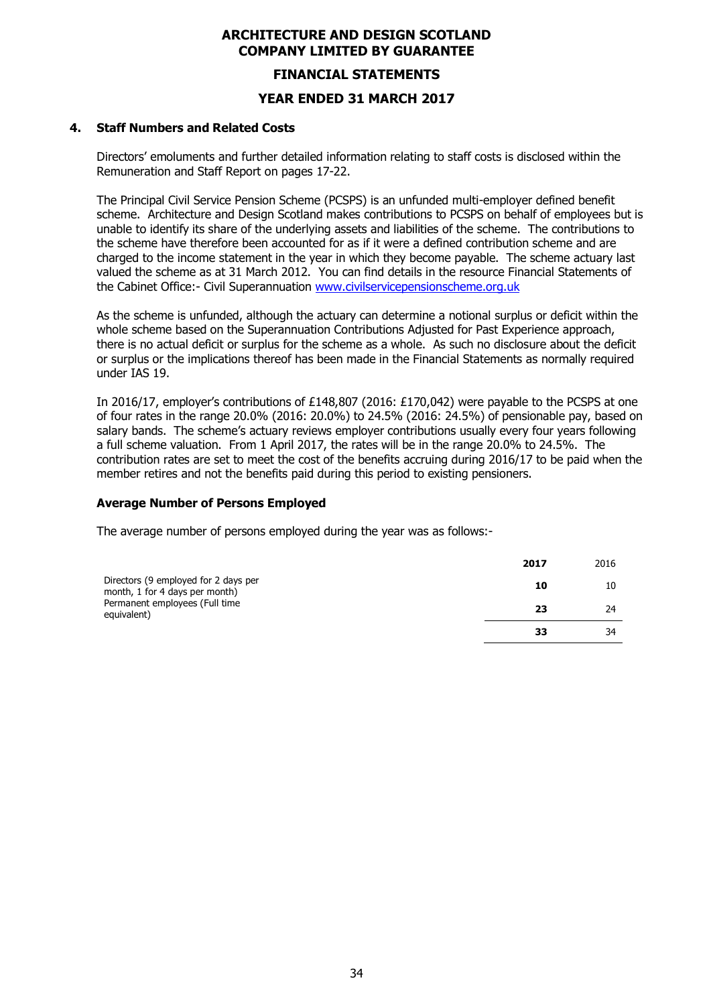#### **FINANCIAL STATEMENTS**

#### **YEAR ENDED 31 MARCH 2017**

#### **4. Staff Numbers and Related Costs**

Directors' emoluments and further detailed information relating to staff costs is disclosed within the Remuneration and Staff Report on pages 17-22.

The Principal Civil Service Pension Scheme (PCSPS) is an unfunded multi-employer defined benefit scheme. Architecture and Design Scotland makes contributions to PCSPS on behalf of employees but is unable to identify its share of the underlying assets and liabilities of the scheme. The contributions to the scheme have therefore been accounted for as if it were a defined contribution scheme and are charged to the income statement in the year in which they become payable. The scheme actuary last valued the scheme as at 31 March 2012. You can find details in the resource Financial Statements of the Cabinet Office:- Civil Superannuation www.civilservicepensionscheme.org.uk

As the scheme is unfunded, although the actuary can determine a notional surplus or deficit within the whole scheme based on the Superannuation Contributions Adjusted for Past Experience approach, there is no actual deficit or surplus for the scheme as a whole. As such no disclosure about the deficit or surplus or the implications thereof has been made in the Financial Statements as normally required under IAS 19.

In 2016/17, employer's contributions of £148,807 (2016: £170,042) were payable to the PCSPS at one of four rates in the range 20.0% (2016: 20.0%) to 24.5% (2016: 24.5%) of pensionable pay, based on salary bands. The scheme's actuary reviews employer contributions usually every four years following a full scheme valuation. From 1 April 2017, the rates will be in the range 20.0% to 24.5%. The contribution rates are set to meet the cost of the benefits accruing during 2016/17 to be paid when the member retires and not the benefits paid during this period to existing pensioners.

#### **Average Number of Persons Employed**

The average number of persons employed during the year was as follows:-

|                                                                        | 2017 | 2016 |
|------------------------------------------------------------------------|------|------|
| Directors (9 employed for 2 days per<br>month, 1 for 4 days per month) | 10   | 10   |
| Permanent employees (Full time<br>equivalent)                          | 23   | 24   |
|                                                                        | 33   | 34   |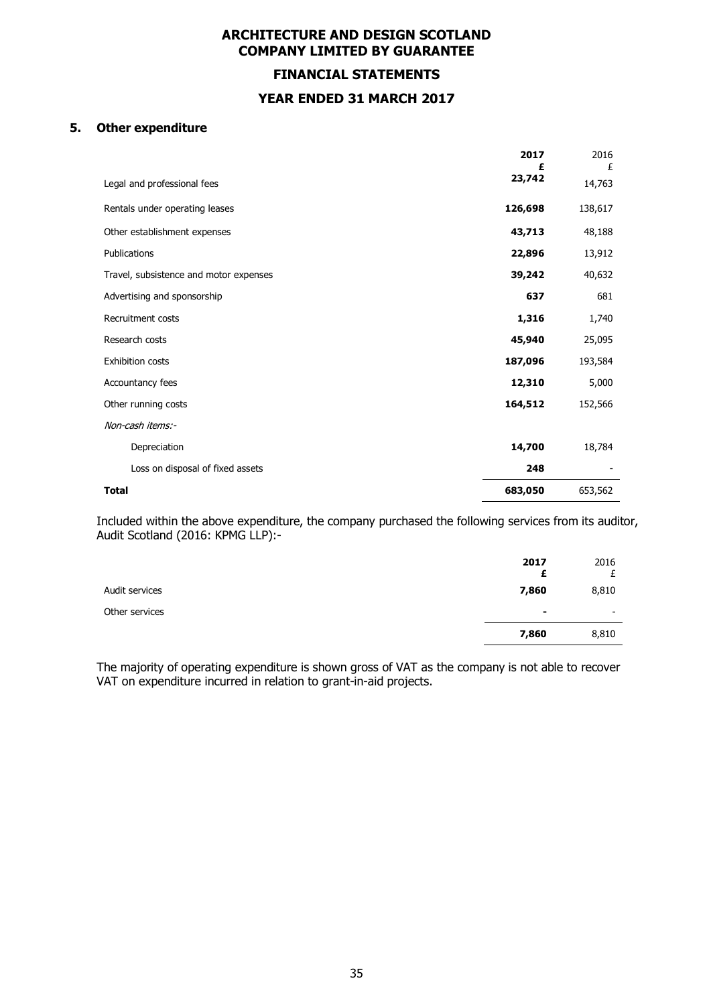**FINANCIAL STATEMENTS YEAR ENDED 31 MARCH 2017**

#### **5. Other expenditure**

|                                        | 2017<br>£ | 2016<br>£ |
|----------------------------------------|-----------|-----------|
| Legal and professional fees            | 23,742    | 14,763    |
| Rentals under operating leases         | 126,698   | 138,617   |
| Other establishment expenses           | 43,713    | 48,188    |
| Publications                           | 22,896    | 13,912    |
| Travel, subsistence and motor expenses | 39,242    | 40,632    |
| Advertising and sponsorship            | 637       | 681       |
| Recruitment costs                      | 1,316     | 1,740     |
| Research costs                         | 45,940    | 25,095    |
| <b>Exhibition costs</b>                | 187,096   | 193,584   |
| Accountancy fees                       | 12,310    | 5,000     |
| Other running costs                    | 164,512   | 152,566   |
| Non-cash items:-                       |           |           |
| Depreciation                           | 14,700    | 18,784    |
| Loss on disposal of fixed assets       | 248       |           |
| <b>Total</b>                           | 683,050   | 653,562   |

Included within the above expenditure, the company purchased the following services from its auditor, Audit Scotland (2016: KPMG LLP):-

|                | 2017<br>£      | 2016                     |
|----------------|----------------|--------------------------|
| Audit services | 7,860          | 8,810                    |
| Other services | $\blacksquare$ | $\overline{\phantom{a}}$ |
|                | 7,860          | 8,810                    |

The majority of operating expenditure is shown gross of VAT as the company is not able to recover VAT on expenditure incurred in relation to grant-in-aid projects.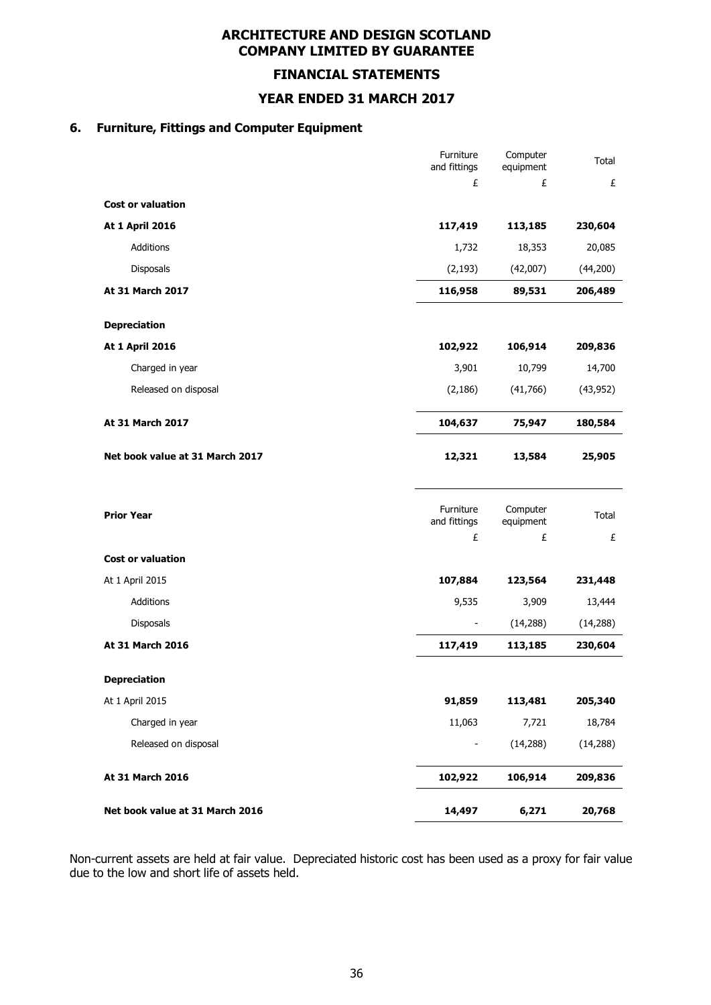**FINANCIAL STATEMENTS**

**YEAR ENDED 31 MARCH 2017**

# **6. Furniture, Fittings and Computer Equipment**

|                                 | Furniture<br>and fittings      | Computer<br>equipment      | Total      |
|---------------------------------|--------------------------------|----------------------------|------------|
|                                 | £                              | £                          | £          |
| <b>Cost or valuation</b>        |                                |                            |            |
| <b>At 1 April 2016</b>          | 117,419                        | 113,185                    | 230,604    |
| Additions                       | 1,732                          | 18,353                     | 20,085     |
| Disposals                       | (2, 193)                       | (42,007)                   | (44, 200)  |
| At 31 March 2017                | 116,958                        | 89,531                     | 206,489    |
| <b>Depreciation</b>             |                                |                            |            |
| <b>At 1 April 2016</b>          | 102,922                        | 106,914                    | 209,836    |
| Charged in year                 | 3,901                          | 10,799                     | 14,700     |
| Released on disposal            | (2, 186)                       | (41,766)                   | (43, 952)  |
| At 31 March 2017                | 104,637                        | 75,947                     | 180,584    |
| Net book value at 31 March 2017 | 12,321                         | 13,584                     | 25,905     |
| <b>Prior Year</b>               | Furniture<br>and fittings<br>£ | Computer<br>equipment<br>£ | Total<br>£ |
| <b>Cost or valuation</b>        |                                |                            |            |
| At 1 April 2015                 | 107,884                        | 123,564                    | 231,448    |
| Additions                       | 9,535                          | 3,909                      | 13,444     |
| Disposals                       | $\overline{\phantom{a}}$       | (14, 288)                  | (14, 288)  |
| At 31 March 2016                | 117,419                        | 113,185                    | 230,604    |
| <b>Depreciation</b>             |                                |                            |            |
| At 1 April 2015                 | 91,859                         | 113,481                    | 205,340    |
| Charged in year                 | 11,063                         | 7,721                      | 18,784     |
| Released on disposal            |                                | (14, 288)                  | (14, 288)  |
| At 31 March 2016                | 102,922                        | 106,914                    | 209,836    |
| Net book value at 31 March 2016 | 14,497                         | 6,271                      | 20,768     |

Non-current assets are held at fair value. Depreciated historic cost has been used as a proxy for fair value due to the low and short life of assets held.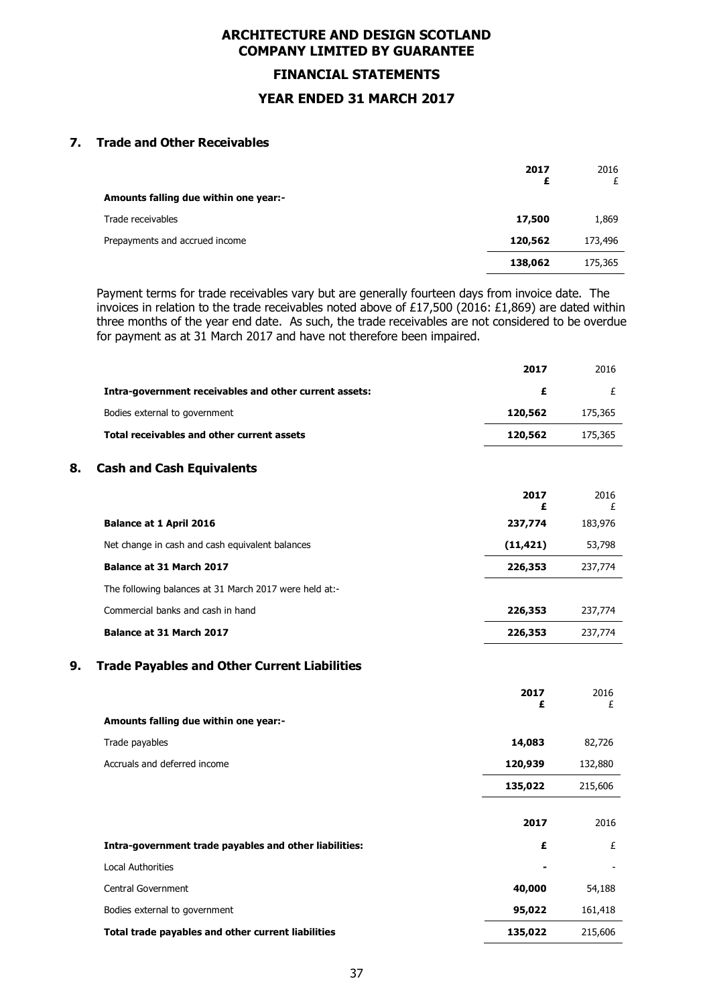**FINANCIAL STATEMENTS**

#### **YEAR ENDED 31 MARCH 2017**

#### **7. Trade and Other Receivables**

|                                       | 2017<br>£ | 2016    |
|---------------------------------------|-----------|---------|
| Amounts falling due within one year:- |           |         |
| Trade receivables                     | 17,500    | 1,869   |
| Prepayments and accrued income        | 120,562   | 173,496 |
|                                       | 138,062   | 175,365 |

Payment terms for trade receivables vary but are generally fourteen days from invoice date. The invoices in relation to the trade receivables noted above of £17,500 (2016: £1,869) are dated within three months of the year end date. As such, the trade receivables are not considered to be overdue for payment as at 31 March 2017 and have not therefore been impaired.

|                                                           | 2017      | 2016      |
|-----------------------------------------------------------|-----------|-----------|
| Intra-government receivables and other current assets:    | £         | £         |
| Bodies external to government                             | 120,562   | 175,365   |
| <b>Total receivables and other current assets</b>         | 120,562   | 175,365   |
| 8.<br><b>Cash and Cash Equivalents</b>                    |           |           |
|                                                           | 2017<br>£ | 2016<br>£ |
| <b>Balance at 1 April 2016</b>                            | 237,774   | 183,976   |
| Net change in cash and cash equivalent balances           | (11, 421) | 53,798    |
| Balance at 31 March 2017                                  | 226,353   | 237,774   |
| The following balances at 31 March 2017 were held at:-    |           |           |
| Commercial banks and cash in hand                         | 226,353   | 237,774   |
| Balance at 31 March 2017                                  | 226,353   | 237,774   |
| 9.<br><b>Trade Payables and Other Current Liabilities</b> |           |           |
|                                                           | 2017<br>£ | 2016<br>£ |
| Amounts falling due within one year:-                     |           |           |
| Trade payables                                            | 14,083    | 82,726    |
| Accruals and deferred income                              | 120,939   | 132,880   |
|                                                           | 135,022   | 215,606   |
|                                                           | 2017      | 2016      |
| Intra-government trade payables and other liabilities:    | £         | £         |
| <b>Local Authorities</b>                                  |           |           |
| Central Government                                        | 40,000    | 54,188    |
| Bodies external to government                             | 95,022    | 161,418   |
| Total trade payables and other current liabilities        | 135,022   | 215,606   |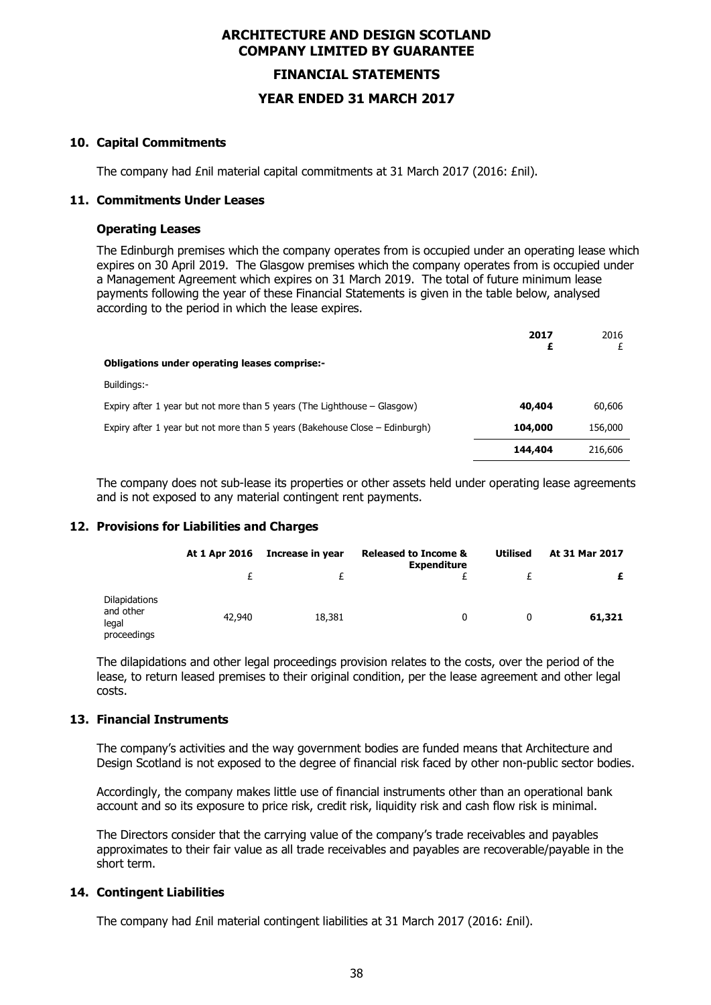# **FINANCIAL STATEMENTS YEAR ENDED 31 MARCH 2017**

#### **10. Capital Commitments**

The company had £nil material capital commitments at 31 March 2017 (2016: £nil).

#### **11. Commitments Under Leases**

#### **Operating Leases**

The Edinburgh premises which the company operates from is occupied under an operating lease which expires on 30 April 2019. The Glasgow premises which the company operates from is occupied under a Management Agreement which expires on 31 March 2019. The total of future minimum lease payments following the year of these Financial Statements is given in the table below, analysed according to the period in which the lease expires.

|                                                                             | 2017<br>£ | 2016    |
|-----------------------------------------------------------------------------|-----------|---------|
| <b>Obligations under operating leases comprise:-</b>                        |           |         |
| Buildings:-                                                                 |           |         |
| Expiry after 1 year but not more than 5 years (The Lighthouse – Glasgow)    | 40,404    | 60,606  |
| Expiry after 1 year but not more than 5 years (Bakehouse Close – Edinburgh) | 104,000   | 156,000 |
|                                                                             | 144,404   | 216,606 |

The company does not sub-lease its properties or other assets held under operating lease agreements and is not exposed to any material contingent rent payments.

#### **12. Provisions for Liabilities and Charges**

|                                                    | At 1 Apr 2016 | Increase in year<br>£ | <b>Released to Income &amp;</b><br><b>Expenditure</b> | <b>Utilised</b> | At 31 Mar 2017<br>£ |
|----------------------------------------------------|---------------|-----------------------|-------------------------------------------------------|-----------------|---------------------|
|                                                    |               |                       |                                                       |                 |                     |
| Dilapidations<br>and other<br>legal<br>proceedings | 42,940        | 18,381                | 0                                                     | 0               | 61,321              |

The dilapidations and other legal proceedings provision relates to the costs, over the period of the lease, to return leased premises to their original condition, per the lease agreement and other legal costs.

#### **13. Financial Instruments**

The company's activities and the way government bodies are funded means that Architecture and Design Scotland is not exposed to the degree of financial risk faced by other non-public sector bodies.

Accordingly, the company makes little use of financial instruments other than an operational bank account and so its exposure to price risk, credit risk, liquidity risk and cash flow risk is minimal.

The Directors consider that the carrying value of the company's trade receivables and payables approximates to their fair value as all trade receivables and payables are recoverable/payable in the short term.

#### **14. Contingent Liabilities**

The company had £nil material contingent liabilities at 31 March 2017 (2016: £nil).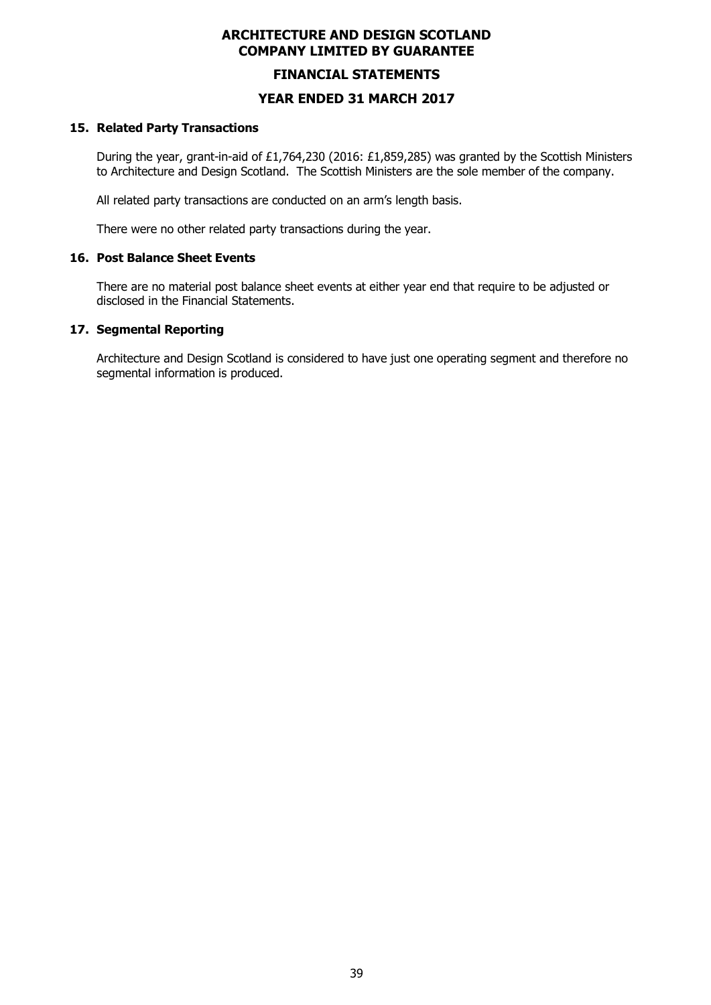#### **FINANCIAL STATEMENTS**

#### **YEAR ENDED 31 MARCH 2017**

#### **15. Related Party Transactions**

During the year, grant-in-aid of £1,764,230 (2016: £1,859,285) was granted by the Scottish Ministers to Architecture and Design Scotland. The Scottish Ministers are the sole member of the company.

All related party transactions are conducted on an arm's length basis.

There were no other related party transactions during the year.

#### **16. Post Balance Sheet Events**

There are no material post balance sheet events at either year end that require to be adjusted or disclosed in the Financial Statements.

#### **17. Segmental Reporting**

Architecture and Design Scotland is considered to have just one operating segment and therefore no segmental information is produced.